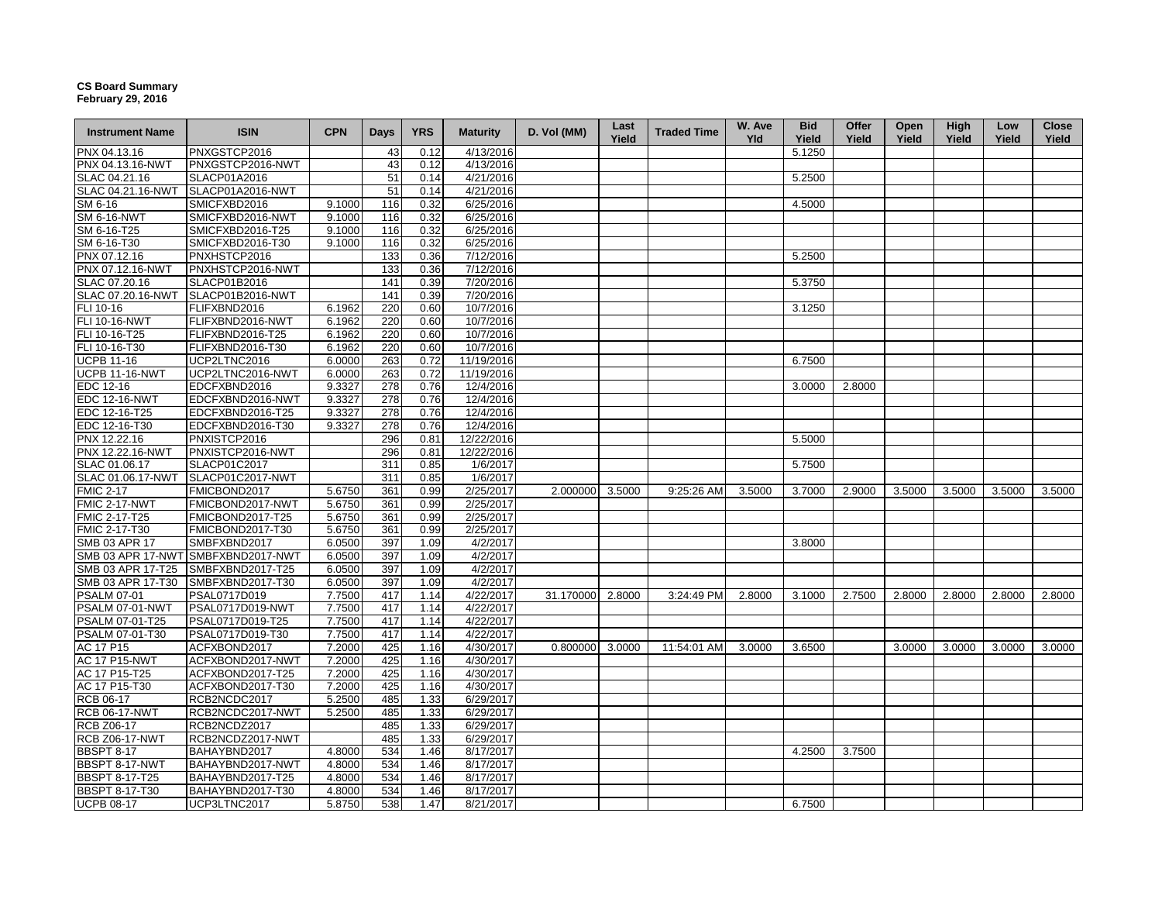## **CS Board Summary February 29, 2016**

| <b>Instrument Name</b> | <b>ISIN</b>                        | <b>CPN</b> | Days | <b>YRS</b> | <b>Maturity</b> | D. Vol (MM)      | Last<br>Yield | <b>Traded Time</b> | W. Ave<br><b>Yld</b> | <b>Bid</b><br>Yield | Offer<br>Yield | Open<br>Yield | High<br>Yield | Low<br>Yield | Close<br>Yield |
|------------------------|------------------------------------|------------|------|------------|-----------------|------------------|---------------|--------------------|----------------------|---------------------|----------------|---------------|---------------|--------------|----------------|
| PNX 04.13.16           | PNXGSTCP2016                       |            | 43   | 0.12       | 4/13/2016       |                  |               |                    |                      | 5.1250              |                |               |               |              |                |
| PNX 04.13.16-NWT       | PNXGSTCP2016-NWT                   |            | 43   | 0.12       | 4/13/2016       |                  |               |                    |                      |                     |                |               |               |              |                |
| SLAC 04.21.16          | SLACP01A2016                       |            | 51   | 0.14       | 4/21/2016       |                  |               |                    |                      | 5.2500              |                |               |               |              |                |
| SLAC 04.21.16-NWT      | SLACP01A2016-NWT                   |            | 51   | 0.14       | 4/21/2016       |                  |               |                    |                      |                     |                |               |               |              |                |
| SM 6-16                | SMICFXBD2016                       | 9.1000     | 116  | 0.32       | 6/25/2016       |                  |               |                    |                      | 4.5000              |                |               |               |              |                |
| <b>SM 6-16-NWT</b>     | SMICFXBD2016-NWT                   | 9.1000     | 116  | 0.32       | 6/25/2016       |                  |               |                    |                      |                     |                |               |               |              |                |
| SM 6-16-T25            | SMICFXBD2016-T25                   | 9.1000     | 116  | 0.32       | 6/25/2016       |                  |               |                    |                      |                     |                |               |               |              |                |
| SM 6-16-T30            | SMICFXBD2016-T30                   | 9.1000     | 116  | 0.32       | 6/25/2016       |                  |               |                    |                      |                     |                |               |               |              |                |
| PNX 07.12.16           | PNXHSTCP2016                       |            | 133  | 0.36       | 7/12/2016       |                  |               |                    |                      | 5.2500              |                |               |               |              |                |
| PNX 07.12.16-NWT       | PNXHSTCP2016-NWT                   |            | 133  | 0.36       | 7/12/2016       |                  |               |                    |                      |                     |                |               |               |              |                |
| SLAC 07.20.16          | SLACP01B2016                       |            | 141  | 0.39       | 7/20/2016       |                  |               |                    |                      | 5.3750              |                |               |               |              |                |
| SLAC 07.20.16-NWT      | SLACP01B2016-NWT                   |            | 141  | 0.39       | 7/20/2016       |                  |               |                    |                      |                     |                |               |               |              |                |
| FLI 10-16              | FLIFXBND2016                       | 6.1962     | 220  | 0.60       | 10/7/2016       |                  |               |                    |                      | 3.1250              |                |               |               |              |                |
| FLI 10-16-NWT          | FLIFXBND2016-NWT                   | 6.1962     | 220  | 0.60       | 10/7/2016       |                  |               |                    |                      |                     |                |               |               |              |                |
| FLI 10-16-T25          | FLIFXBND2016-T25                   | 6.1962     | 220  | 0.60       | 10/7/2016       |                  |               |                    |                      |                     |                |               |               |              |                |
| FLI 10-16-T30          | FLIFXBND2016-T30                   | 6.1962     | 220  | 0.60       | 10/7/2016       |                  |               |                    |                      |                     |                |               |               |              |                |
| <b>UCPB 11-16</b>      | UCP2LTNC2016                       | 6.0000     | 263  | 0.72       | 11/19/2016      |                  |               |                    |                      | 6.7500              |                |               |               |              |                |
| <b>UCPB 11-16-NWT</b>  | UCP2LTNC2016-NWT                   | 6.0000     | 263  | 0.72       | 11/19/2016      |                  |               |                    |                      |                     |                |               |               |              |                |
| EDC 12-16              | EDCFXBND2016                       | 9.3327     | 278  | 0.76       | 12/4/2016       |                  |               |                    |                      | 3.0000              | 2.8000         |               |               |              |                |
| <b>EDC 12-16-NWT</b>   | EDCFXBND2016-NWT                   | 9.3327     | 278  | 0.76       | 12/4/2016       |                  |               |                    |                      |                     |                |               |               |              |                |
| EDC 12-16-T25          | EDCFXBND2016-T25                   | 9.3327     | 278  | 0.76       | 12/4/2016       |                  |               |                    |                      |                     |                |               |               |              |                |
| EDC 12-16-T30          | EDCFXBND2016-T30                   | 9.3327     | 278  | 0.76       | 12/4/2016       |                  |               |                    |                      |                     |                |               |               |              |                |
| PNX 12.22.16           | PNXISTCP2016                       |            | 296  | 0.81       | 12/22/2016      |                  |               |                    |                      | 5.5000              |                |               |               |              |                |
| PNX 12.22.16-NWT       | PNXISTCP2016-NWT                   |            | 296  | 0.81       | 12/22/2016      |                  |               |                    |                      |                     |                |               |               |              |                |
| SLAC 01.06.17          | SLACP01C2017                       |            | 311  | 0.85       | 1/6/2017        |                  |               |                    |                      | 5.7500              |                |               |               |              |                |
| SLAC 01.06.17-NWT      | SLACP01C2017-NWT                   |            | 311  | 0.85       | 1/6/2017        |                  |               |                    |                      |                     |                |               |               |              |                |
| <b>FMIC 2-17</b>       | FMICBOND2017                       | 5.6750     | 361  | 0.99       | 2/25/2017       | 2.000000         | 3.5000        | 9:25:26 AM         | 3.5000               | 3.7000              | 2.9000         | 3.5000        | 3.5000        | 3.5000       | 3.5000         |
| <b>FMIC 2-17-NWT</b>   | FMICBOND2017-NWT                   | 5.6750     | 361  | 0.99       | 2/25/2017       |                  |               |                    |                      |                     |                |               |               |              |                |
| FMIC 2-17-T25          | FMICBOND2017-T25                   | 5.6750     | 361  | 0.99       | 2/25/2017       |                  |               |                    |                      |                     |                |               |               |              |                |
| FMIC 2-17-T30          | FMICBOND2017-T30                   | 5.6750     | 361  | 0.99       | 2/25/2017       |                  |               |                    |                      |                     |                |               |               |              |                |
| SMB 03 APR 17          | SMBFXBND2017                       | 6.0500     | 397  | 1.09       | 4/2/2017        |                  |               |                    |                      | 3.8000              |                |               |               |              |                |
|                        | SMB 03 APR 17-NWT SMBFXBND2017-NWT | 6.0500     | 397  | 1.09       | 4/2/2017        |                  |               |                    |                      |                     |                |               |               |              |                |
| SMB 03 APR 17-T25      | SMBFXBND2017-T25                   | 6.0500     | 397  | 1.09       | 4/2/2017        |                  |               |                    |                      |                     |                |               |               |              |                |
| SMB 03 APR 17-T30      | SMBFXBND2017-T30                   | 6.0500     | 397  | 1.09       | 4/2/2017        |                  |               |                    |                      |                     |                |               |               |              |                |
| <b>PSALM 07-01</b>     | PSAL0717D019                       | 7.7500     | 417  | 1.14       | 4/22/2017       | 31.170000 2.8000 |               | 3:24:49 PM         | 2.8000               | 3.1000              | 2.7500         | 2.8000        | 2.8000        | 2.8000       | 2.8000         |
| PSALM 07-01-NWT        | PSAL0717D019-NWT                   | 7.7500     | 417  | 1.14       | 4/22/2017       |                  |               |                    |                      |                     |                |               |               |              |                |
| PSALM 07-01-T25        | PSAL0717D019-T25                   | 7.7500     | 417  | 1.14       | 4/22/2017       |                  |               |                    |                      |                     |                |               |               |              |                |
| PSALM 07-01-T30        | PSAL0717D019-T30                   | 7.7500     | 417  | 1.14       | 4/22/2017       |                  |               |                    |                      |                     |                |               |               |              |                |
| AC 17 P15              | ACFXBOND2017                       | 7.2000     | 425  | 1.16       | 4/30/2017       | 0.800000         | 3.0000        | 11:54:01 AM        | 3.0000               | 3.6500              |                | 3.0000        | 3.0000        | 3.0000       | 3.0000         |
| <b>AC 17 P15-NWT</b>   | ACFXBOND2017-NWT                   | 7.2000     | 425  | 1.16       | 4/30/2017       |                  |               |                    |                      |                     |                |               |               |              |                |
| AC 17 P15-T25          | ACFXBOND2017-T25                   | 7.2000     | 425  | 1.16       | 4/30/2017       |                  |               |                    |                      |                     |                |               |               |              |                |
| AC 17 P15-T30          | ACFXBOND2017-T30                   | 7.2000     | 425  | 1.16       | 4/30/2017       |                  |               |                    |                      |                     |                |               |               |              |                |
| RCB 06-17              | RCB2NCDC2017                       | 5.2500     | 485  | 1.33       | 6/29/2017       |                  |               |                    |                      |                     |                |               |               |              |                |
| <b>RCB 06-17-NWT</b>   | RCB2NCDC2017-NWT                   | 5.2500     | 485  | 1.33       | 6/29/2017       |                  |               |                    |                      |                     |                |               |               |              |                |
| <b>RCB Z06-17</b>      | RCB2NCDZ2017                       |            | 485  | 1.33       | 6/29/2017       |                  |               |                    |                      |                     |                |               |               |              |                |
| <b>RCB Z06-17-NWT</b>  | RCB2NCDZ2017-NWT                   |            | 485  | 1.33       | 6/29/2017       |                  |               |                    |                      |                     |                |               |               |              |                |
| <b>BBSPT 8-17</b>      | BAHAYBND2017                       | 4.8000     | 534  | 1.46       | 8/17/2017       |                  |               |                    |                      | 4.2500              | 3.7500         |               |               |              |                |
| BBSPT 8-17-NWT         | BAHAYBND2017-NWT                   | 4.8000     | 534  | 1.46       | 8/17/2017       |                  |               |                    |                      |                     |                |               |               |              |                |
| <b>BBSPT 8-17-T25</b>  | BAHAYBND2017-T25                   | 4.8000     | 534  | 1.46       | 8/17/2017       |                  |               |                    |                      |                     |                |               |               |              |                |
| BBSPT 8-17-T30         | BAHAYBND2017-T30                   | 4.8000     | 534  | 1.46       | 8/17/2017       |                  |               |                    |                      |                     |                |               |               |              |                |
| <b>UCPB 08-17</b>      | UCP3LTNC2017                       | 5.8750     | 538  | 1.47       | 8/21/2017       |                  |               |                    |                      | 6.7500              |                |               |               |              |                |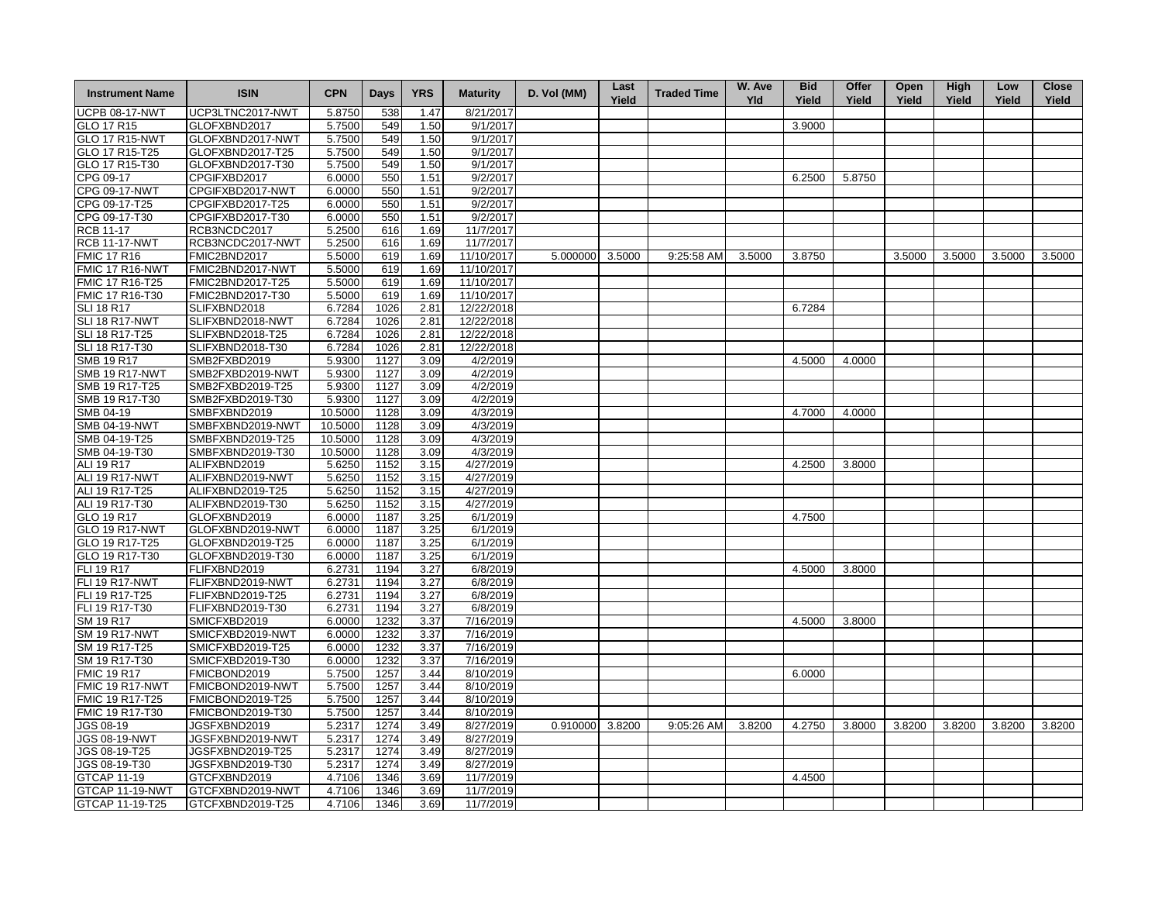| <b>Instrument Name</b> | <b>ISIN</b>      | <b>CPN</b> | <b>Days</b> | <b>YRS</b> | <b>Maturity</b> | D. Vol (MM)     | Last<br>Yield | <b>Traded Time</b> | W. Ave<br><b>Yld</b> | <b>Bid</b><br>Yield | Offer<br>Yield | Open<br>Yield | <b>High</b><br>Yield | Low<br>Yield | <b>Close</b><br>Yield |
|------------------------|------------------|------------|-------------|------------|-----------------|-----------------|---------------|--------------------|----------------------|---------------------|----------------|---------------|----------------------|--------------|-----------------------|
| <b>UCPB 08-17-NWT</b>  | UCP3LTNC2017-NWT | 5.8750     | 538         | 1.47       | 8/21/2017       |                 |               |                    |                      |                     |                |               |                      |              |                       |
| GLO 17 R15             | GLOFXBND2017     | 5.7500     | 549         | 1.50       | 9/1/2017        |                 |               |                    |                      | 3.9000              |                |               |                      |              |                       |
| <b>GLO 17 R15-NWT</b>  | GLOFXBND2017-NWT | 5.7500     | 549         | 1.50       | 9/1/2017        |                 |               |                    |                      |                     |                |               |                      |              |                       |
| GLO 17 R15-T25         | GLOFXBND2017-T25 | 5.7500     | 549         | 1.50       | 9/1/2017        |                 |               |                    |                      |                     |                |               |                      |              |                       |
| GLO 17 R15-T30         | GLOFXBND2017-T30 | 5.7500     | 549         | 1.50       | 9/1/2017        |                 |               |                    |                      |                     |                |               |                      |              |                       |
| CPG 09-17              | CPGIFXBD2017     | 6.0000     | 550         | 1.51       | 9/2/2017        |                 |               |                    |                      | 6.2500              | 5.8750         |               |                      |              |                       |
| CPG 09-17-NWT          | CPGIFXBD2017-NWT | 6.0000     | 550         | 1.51       | 9/2/2017        |                 |               |                    |                      |                     |                |               |                      |              |                       |
| CPG 09-17-T25          | CPGIFXBD2017-T25 | 6.0000     | 550         | 1.51       | 9/2/2017        |                 |               |                    |                      |                     |                |               |                      |              |                       |
| CPG 09-17-T30          | CPGIFXBD2017-T30 | 6.0000     | 550         | 1.51       | 9/2/2017        |                 |               |                    |                      |                     |                |               |                      |              |                       |
| RCB 11-17              | RCB3NCDC2017     | 5.2500     | 616         | 1.69       | 11/7/2017       |                 |               |                    |                      |                     |                |               |                      |              |                       |
| <b>RCB 11-17-NWT</b>   | RCB3NCDC2017-NWT | 5.2500     | 616         | 1.69       | 11/7/2017       |                 |               |                    |                      |                     |                |               |                      |              |                       |
| <b>FMIC 17 R16</b>     | FMIC2BND2017     | 5.5000     | 619         | 1.69       | 11/10/2017      | 5.000000 3.5000 |               | 9:25:58 AM         | 3.5000               | 3.8750              |                | 3.5000        | 3.5000               | 3.5000       | 3.5000                |
| FMIC 17 R16-NWT        | FMIC2BND2017-NWT | 5.5000     | 619         | 1.69       | 11/10/2017      |                 |               |                    |                      |                     |                |               |                      |              |                       |
| FMIC 17 R16-T25        | FMIC2BND2017-T25 | 5.5000     | 619         | 1.69       | 11/10/2017      |                 |               |                    |                      |                     |                |               |                      |              |                       |
| FMIC 17 R16-T30        | FMIC2BND2017-T30 | 5.5000     | 619         | 1.69       | 11/10/2017      |                 |               |                    |                      |                     |                |               |                      |              |                       |
| <b>SLI 18 R17</b>      | SLIFXBND2018     | 6.7284     | 1026        | 2.81       | 12/22/2018      |                 |               |                    |                      | 6.7284              |                |               |                      |              |                       |
| SLI 18 R17-NWT         | SLIFXBND2018-NWT | 6.7284     | 1026        | 2.81       | 12/22/2018      |                 |               |                    |                      |                     |                |               |                      |              |                       |
| SLI 18 R17-T25         | SLIFXBND2018-T25 | 6.7284     | 1026        | 2.81       | 12/22/2018      |                 |               |                    |                      |                     |                |               |                      |              |                       |
| SLI 18 R17-T30         | SLIFXBND2018-T30 | 6.7284     | 1026        | 2.81       | 12/22/2018      |                 |               |                    |                      |                     |                |               |                      |              |                       |
| <b>SMB 19 R17</b>      | SMB2FXBD2019     | 5.9300     | 1127        | 3.09       | 4/2/2019        |                 |               |                    |                      | 4.5000              | 4.0000         |               |                      |              |                       |
|                        |                  |            |             |            |                 |                 |               |                    |                      |                     |                |               |                      |              |                       |
| <b>SMB 19 R17-NWT</b>  | SMB2FXBD2019-NWT | 5.9300     | 1127        | 3.09       | 4/2/2019        |                 |               |                    |                      |                     |                |               |                      |              |                       |
| SMB 19 R17-T25         | SMB2FXBD2019-T25 | 5.9300     | 1127        | 3.09       | 4/2/2019        |                 |               |                    |                      |                     |                |               |                      |              |                       |
| SMB 19 R17-T30         | SMB2FXBD2019-T30 | 5.9300     | 1127        | 3.09       | 4/2/2019        |                 |               |                    |                      |                     |                |               |                      |              |                       |
| SMB 04-19              | SMBFXBND2019     | 10.5000    | 1128        | 3.09       | 4/3/2019        |                 |               |                    |                      | 4.7000              | 4.0000         |               |                      |              |                       |
| <b>SMB 04-19-NWT</b>   | SMBFXBND2019-NWT | 10.5000    | 1128        | 3.09       | 4/3/2019        |                 |               |                    |                      |                     |                |               |                      |              |                       |
| SMB 04-19-T25          | SMBFXBND2019-T25 | 10.5000    | 1128        | 3.09       | 4/3/2019        |                 |               |                    |                      |                     |                |               |                      |              |                       |
| SMB 04-19-T30          | SMBFXBND2019-T30 | 10.5000    | 1128        | 3.09       | 4/3/2019        |                 |               |                    |                      |                     |                |               |                      |              |                       |
| ALI 19 R17             | ALIFXBND2019     | 5.6250     | 1152        | 3.15       | 4/27/2019       |                 |               |                    |                      | 4.2500              | 3.8000         |               |                      |              |                       |
| ALI 19 R17-NWT         | ALIFXBND2019-NWT | 5.6250     | 1152        | 3.15       | 4/27/2019       |                 |               |                    |                      |                     |                |               |                      |              |                       |
| ALI 19 R17-T25         | ALIFXBND2019-T25 | 5.6250     | 1152        | 3.15       | 4/27/2019       |                 |               |                    |                      |                     |                |               |                      |              |                       |
| ALI 19 R17-T30         | ALIFXBND2019-T30 | 5.6250     | 1152        | 3.15       | 4/27/2019       |                 |               |                    |                      |                     |                |               |                      |              |                       |
| GLO 19 R17             | GLOFXBND2019     | 6.0000     | 1187        | 3.25       | 6/1/2019        |                 |               |                    |                      | 4.7500              |                |               |                      |              |                       |
| <b>GLO 19 R17-NWT</b>  | GLOFXBND2019-NWT | 6.0000     | 1187        | 3.25       | 6/1/2019        |                 |               |                    |                      |                     |                |               |                      |              |                       |
| GLO 19 R17-T25         | GLOFXBND2019-T25 | 6.0000     | 1187        | 3.25       | 6/1/2019        |                 |               |                    |                      |                     |                |               |                      |              |                       |
| GLO 19 R17-T30         | GLOFXBND2019-T30 | 6.0000     | 1187        | 3.25       | 6/1/2019        |                 |               |                    |                      |                     |                |               |                      |              |                       |
| <b>FLI 19 R17</b>      | FLIFXBND2019     | 6.2731     | 1194        | 3.27       | 6/8/2019        |                 |               |                    |                      | 4.5000              | 3.8000         |               |                      |              |                       |
| FLI 19 R17-NWT         | FLIFXBND2019-NWT | 6.2731     | 1194        | 3.27       | 6/8/2019        |                 |               |                    |                      |                     |                |               |                      |              |                       |
| FLI 19 R17-T25         | FLIFXBND2019-T25 | 6.2731     | 1194        | 3.27       | 6/8/2019        |                 |               |                    |                      |                     |                |               |                      |              |                       |
| FLI 19 R17-T30         | FLIFXBND2019-T30 | 6.2731     | 1194        | 3.27       | 6/8/2019        |                 |               |                    |                      |                     |                |               |                      |              |                       |
| SM 19 R17              | SMICFXBD2019     | 6.0000     | 1232        | 3.37       | 7/16/2019       |                 |               |                    |                      | 4.5000              | 3.8000         |               |                      |              |                       |
| <b>SM 19 R17-NWT</b>   | SMICFXBD2019-NWT | 6.0000     | 1232        | 3.37       | 7/16/2019       |                 |               |                    |                      |                     |                |               |                      |              |                       |
| SM 19 R17-T25          | SMICFXBD2019-T25 | 6.0000     | 1232        | 3.37       | 7/16/2019       |                 |               |                    |                      |                     |                |               |                      |              |                       |
| SM 19 R17-T30          | SMICFXBD2019-T30 | 6.0000     | 1232        | 3.37       | 7/16/2019       |                 |               |                    |                      |                     |                |               |                      |              |                       |
| <b>FMIC 19 R17</b>     | FMICBOND2019     | 5.7500     | 1257        | 3.44       | 8/10/2019       |                 |               |                    |                      | 6.0000              |                |               |                      |              |                       |
| FMIC 19 R17-NWT        | FMICBOND2019-NWT | 5.7500     | 1257        | 3.44       | 8/10/2019       |                 |               |                    |                      |                     |                |               |                      |              |                       |
| FMIC 19 R17-T25        | FMICBOND2019-T25 | 5.7500     | 1257        | 3.44       | 8/10/2019       |                 |               |                    |                      |                     |                |               |                      |              |                       |
| FMIC 19 R17-T30        | FMICBOND2019-T30 | 5.7500     | 1257        | 3.44       | 8/10/2019       |                 |               |                    |                      |                     |                |               |                      |              |                       |
| JGS 08-19              | JGSFXBND2019     | 5.2317     | 1274        | 3.49       | 8/27/2019       | 0.910000 3.8200 |               | 9:05:26 AM         | 3.8200               | 4.2750              | 3.8000         | 3.8200        | 3.8200               | 3.8200       | 3.8200                |
| JGS 08-19-NWT          | JGSFXBND2019-NWT | 5.2317     | 1274        | 3.49       | 8/27/2019       |                 |               |                    |                      |                     |                |               |                      |              |                       |
| JGS 08-19-T25          | JGSFXBND2019-T25 | 5.2317     | 1274        | 3.49       | 8/27/2019       |                 |               |                    |                      |                     |                |               |                      |              |                       |
| JGS 08-19-T30          | JGSFXBND2019-T30 | 5.2317     | 1274        | 3.49       | 8/27/2019       |                 |               |                    |                      |                     |                |               |                      |              |                       |
| <b>GTCAP 11-19</b>     | GTCFXBND2019     | 4.7106     | 1346        | 3.69       | 11/7/2019       |                 |               |                    |                      | 4.4500              |                |               |                      |              |                       |
| GTCAP 11-19-NWT        | GTCFXBND2019-NWT | 4.7106     | 1346        | 3.69       | 11/7/2019       |                 |               |                    |                      |                     |                |               |                      |              |                       |
| GTCAP 11-19-T25        | GTCFXBND2019-T25 | 4.7106     | 1346        | 3.69       | 11/7/2019       |                 |               |                    |                      |                     |                |               |                      |              |                       |
|                        |                  |            |             |            |                 |                 |               |                    |                      |                     |                |               |                      |              |                       |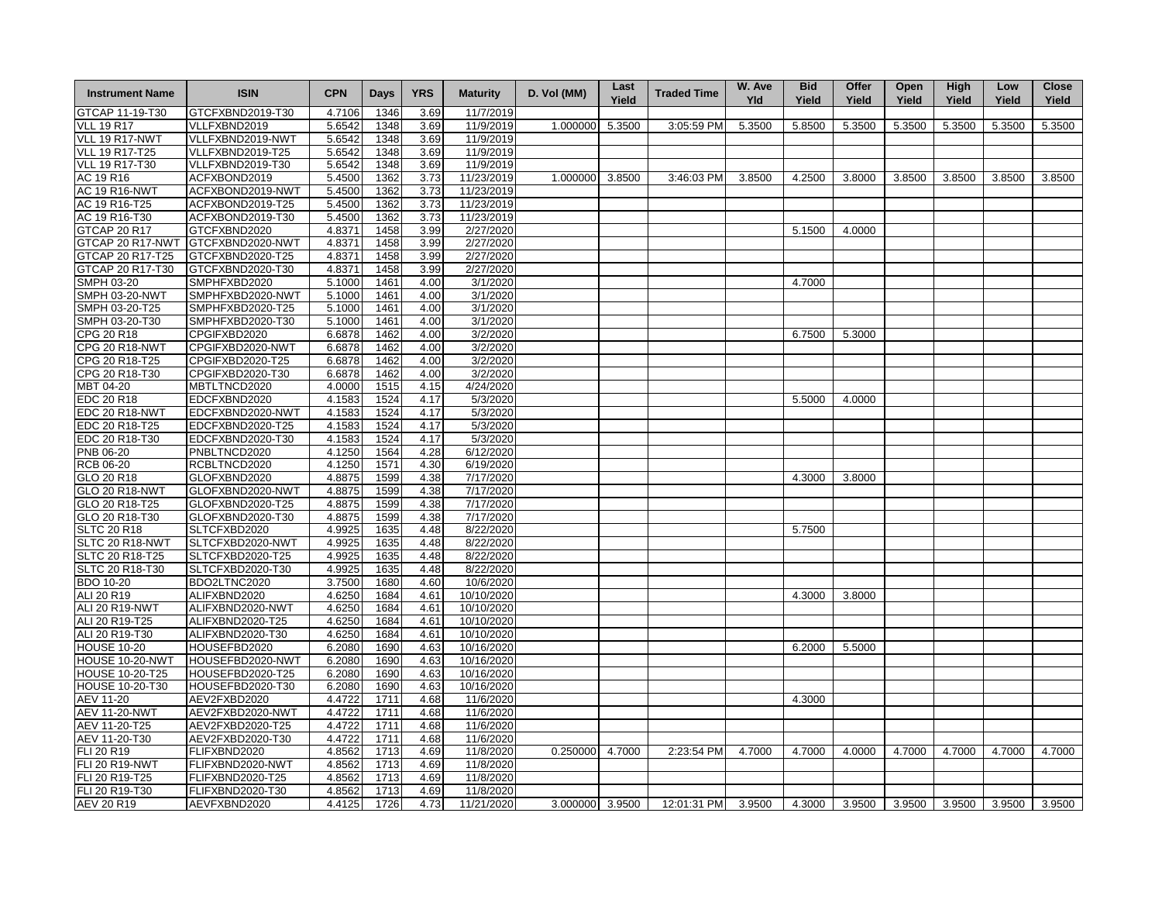| <b>Instrument Name</b> | <b>ISIN</b>      | <b>CPN</b> | Days | <b>YRS</b> | <b>Maturity</b> | D. Vol (MM)     | Last<br>Yield | <b>Traded Time</b> | W. Ave<br><b>Yld</b> | <b>Bid</b><br>Yield | Offer<br>Yield | Open<br>Yield | High<br>Yield | Low<br>Yield | <b>Close</b><br>Yield |
|------------------------|------------------|------------|------|------------|-----------------|-----------------|---------------|--------------------|----------------------|---------------------|----------------|---------------|---------------|--------------|-----------------------|
| GTCAP 11-19-T30        | GTCFXBND2019-T30 | 4.7106     | 1346 | 3.69       | 11/7/2019       |                 |               |                    |                      |                     |                |               |               |              |                       |
| <b>VLL 19 R17</b>      | VLLFXBND2019     | 5.6542     | 1348 | 3.69       | 11/9/2019       | 1.000000        | 5.3500        | 3:05:59 PM         | 5.3500               | 5.8500              | 5.3500         | 5.3500        | 5.3500        | 5.3500       | 5.3500                |
| VLL 19 R17-NWT         | VLLFXBND2019-NWT | 5.6542     | 1348 | 3.69       | 11/9/2019       |                 |               |                    |                      |                     |                |               |               |              |                       |
| <b>VLL 19 R17-T25</b>  | VLLFXBND2019-T25 | 5.6542     | 1348 | 3.69       | 11/9/2019       |                 |               |                    |                      |                     |                |               |               |              |                       |
| VLL 19 R17-T30         | VLLFXBND2019-T30 | 5.6542     | 1348 | 3.69       | 11/9/2019       |                 |               |                    |                      |                     |                |               |               |              |                       |
| AC 19 R16              | ACFXBOND2019     | 5.4500     | 1362 | 3.73       | 11/23/2019      | 1.000000        | 3.8500        | 3:46:03 PM         | 3.8500               | 4.2500              | 3.8000         | 3.8500        | 3.8500        | 3.8500       | 3.8500                |
| <b>AC 19 R16-NWT</b>   | ACFXBOND2019-NWT | 5.4500     | 1362 | 3.73       | 11/23/2019      |                 |               |                    |                      |                     |                |               |               |              |                       |
| AC 19 R16-T25          | ACFXBOND2019-T25 | 5.4500     | 1362 | 3.73       | 11/23/2019      |                 |               |                    |                      |                     |                |               |               |              |                       |
| AC 19 R16-T30          | ACFXBOND2019-T30 | 5.4500     | 1362 | 3.73       | 11/23/2019      |                 |               |                    |                      |                     |                |               |               |              |                       |
| <b>GTCAP 20 R17</b>    | GTCFXBND2020     | 4.8371     | 1458 | 3.99       | 2/27/2020       |                 |               |                    |                      | 5.1500              | 4.0000         |               |               |              |                       |
| GTCAP 20 R17-NWT       | GTCFXBND2020-NWT | 4.8371     | 1458 | 3.99       | 2/27/2020       |                 |               |                    |                      |                     |                |               |               |              |                       |
| GTCAP 20 R17-T25       | GTCFXBND2020-T25 | 4.8371     | 1458 | 3.99       | 2/27/2020       |                 |               |                    |                      |                     |                |               |               |              |                       |
| GTCAP 20 R17-T30       | GTCFXBND2020-T30 | 4.8371     | 1458 | 3.99       | 2/27/2020       |                 |               |                    |                      |                     |                |               |               |              |                       |
| <b>SMPH 03-20</b>      | SMPHFXBD2020     | 5.1000     | 1461 | 4.00       | 3/1/2020        |                 |               |                    |                      | 4.7000              |                |               |               |              |                       |
| <b>SMPH 03-20-NWT</b>  | SMPHFXBD2020-NWT | 5.1000     | 1461 | 4.00       | 3/1/2020        |                 |               |                    |                      |                     |                |               |               |              |                       |
| SMPH 03-20-T25         | SMPHFXBD2020-T25 | 5.1000     | 1461 | 4.00       | 3/1/2020        |                 |               |                    |                      |                     |                |               |               |              |                       |
| SMPH 03-20-T30         | SMPHFXBD2020-T30 | 5.1000     | 1461 | 4.00       | 3/1/2020        |                 |               |                    |                      |                     |                |               |               |              |                       |
| CPG 20 R18             | CPGIFXBD2020     | 6.6878     | 1462 | 4.00       | 3/2/2020        |                 |               |                    |                      | 6.7500              | 5.3000         |               |               |              |                       |
| <b>CPG 20 R18-NWT</b>  | CPGIFXBD2020-NWT | 6.6878     | 1462 | 4.00       | 3/2/2020        |                 |               |                    |                      |                     |                |               |               |              |                       |
| CPG 20 R18-T25         | CPGIFXBD2020-T25 | 6.6878     | 1462 | 4.00       | 3/2/2020        |                 |               |                    |                      |                     |                |               |               |              |                       |
| CPG 20 R18-T30         | CPGIFXBD2020-T30 | 6.6878     | 1462 | 4.00       | 3/2/2020        |                 |               |                    |                      |                     |                |               |               |              |                       |
| MBT 04-20              | MBTLTNCD2020     | 4.0000     | 1515 | 4.15       | 4/24/2020       |                 |               |                    |                      |                     |                |               |               |              |                       |
| EDC 20 R18             | EDCFXBND2020     | 4.1583     | 1524 | 4.17       | 5/3/2020        |                 |               |                    |                      | 5.5000              | 4.0000         |               |               |              |                       |
| <b>EDC 20 R18-NWT</b>  | EDCFXBND2020-NWT | 4.1583     | 1524 | 4.17       | 5/3/2020        |                 |               |                    |                      |                     |                |               |               |              |                       |
| EDC 20 R18-T25         | EDCFXBND2020-T25 | 4.1583     | 1524 | 4.17       | 5/3/2020        |                 |               |                    |                      |                     |                |               |               |              |                       |
| EDC 20 R18-T30         | EDCFXBND2020-T30 | 4.1583     | 1524 | 4.17       | 5/3/2020        |                 |               |                    |                      |                     |                |               |               |              |                       |
| PNB 06-20              | PNBLTNCD2020     | 4.1250     | 1564 | 4.28       | 6/12/2020       |                 |               |                    |                      |                     |                |               |               |              |                       |
| <b>RCB 06-20</b>       | RCBLTNCD2020     | 4.1250     | 1571 | 4.30       | 6/19/2020       |                 |               |                    |                      |                     |                |               |               |              |                       |
| GLO 20 R18             | GLOFXBND2020     | 4.8875     | 1599 | 4.38       | 7/17/2020       |                 |               |                    |                      | 4.3000              | 3.8000         |               |               |              |                       |
| <b>GLO 20 R18-NWT</b>  | GLOFXBND2020-NWT | 4.8875     | 1599 | 4.38       | 7/17/2020       |                 |               |                    |                      |                     |                |               |               |              |                       |
| GLO 20 R18-T25         | GLOFXBND2020-T25 | 4.8875     | 1599 | 4.38       | 7/17/2020       |                 |               |                    |                      |                     |                |               |               |              |                       |
| GLO 20 R18-T30         | GLOFXBND2020-T30 | 4.8875     | 1599 | 4.38       | 7/17/2020       |                 |               |                    |                      |                     |                |               |               |              |                       |
| <b>SLTC 20 R18</b>     | SLTCFXBD2020     | 4.9925     | 1635 | 4.48       | 8/22/2020       |                 |               |                    |                      | 5.7500              |                |               |               |              |                       |
| SLTC 20 R18-NWT        | SLTCFXBD2020-NWT | 4.9925     | 1635 | 4.48       | 8/22/2020       |                 |               |                    |                      |                     |                |               |               |              |                       |
| SLTC 20 R18-T25        | SLTCFXBD2020-T25 | 4.9925     | 1635 | 4.48       | 8/22/2020       |                 |               |                    |                      |                     |                |               |               |              |                       |
| SLTC 20 R18-T30        | SLTCFXBD2020-T30 | 4.9925     | 1635 | 4.48       | 8/22/2020       |                 |               |                    |                      |                     |                |               |               |              |                       |
| <b>BDO 10-20</b>       | BDO2LTNC2020     | 3.7500     | 1680 | 4.60       | 10/6/2020       |                 |               |                    |                      |                     |                |               |               |              |                       |
| ALI 20 R19             | ALIFXBND2020     | 4.6250     | 1684 | 4.61       | 10/10/2020      |                 |               |                    |                      | 4.3000              | 3.8000         |               |               |              |                       |
| ALI 20 R19-NWT         | ALIFXBND2020-NWT | 4.6250     | 1684 | 4.61       | 10/10/2020      |                 |               |                    |                      |                     |                |               |               |              |                       |
| ALI 20 R19-T25         | ALIFXBND2020-T25 | 4.6250     | 1684 | 4.61       | 10/10/2020      |                 |               |                    |                      |                     |                |               |               |              |                       |
| ALI 20 R19-T30         | ALIFXBND2020-T30 | 4.6250     | 1684 | 4.61       | 10/10/2020      |                 |               |                    |                      |                     |                |               |               |              |                       |
| <b>HOUSE 10-20</b>     | HOUSEFBD2020     | 6.2080     | 1690 | 4.63       | 10/16/2020      |                 |               |                    |                      | 6.2000              | 5.5000         |               |               |              |                       |
| HOUSE 10-20-NWT        | HOUSEFBD2020-NWT | 6.2080     | 1690 | 4.63       | 10/16/2020      |                 |               |                    |                      |                     |                |               |               |              |                       |
| HOUSE 10-20-T25        | HOUSEFBD2020-T25 | 6.2080     | 1690 | 4.63       | 10/16/2020      |                 |               |                    |                      |                     |                |               |               |              |                       |
| <b>HOUSE 10-20-T30</b> | HOUSEFBD2020-T30 | 6.2080     | 1690 | 4.63       | 10/16/2020      |                 |               |                    |                      |                     |                |               |               |              |                       |
| AEV 11-20              | AEV2FXBD2020     | 4.4722     | 1711 | 4.68       | 11/6/2020       |                 |               |                    |                      | 4.3000              |                |               |               |              |                       |
| <b>AEV 11-20-NWT</b>   | AEV2FXBD2020-NWT | 4.4722     | 1711 | 4.68       | 11/6/2020       |                 |               |                    |                      |                     |                |               |               |              |                       |
| AEV 11-20-T25          | AEV2FXBD2020-T25 | 4.4722     | 1711 | 4.68       | 11/6/2020       |                 |               |                    |                      |                     |                |               |               |              |                       |
| AEV 11-20-T30          | AEV2FXBD2020-T30 | 4.4722     | 1711 | 4.68       | 11/6/2020       |                 |               |                    |                      |                     |                |               |               |              |                       |
| FLI 20 R19             | FLIFXBND2020     | 4.8562     | 1713 | 4.69       | 11/8/2020       | 0.250000 4.7000 |               | 2:23:54 PM         | 4.7000               | 4.7000              | 4.0000         | 4.7000        | 4.7000        | 4.7000       | 4.7000                |
| <b>FLI 20 R19-NWT</b>  | FLIFXBND2020-NWT | 4.8562     | 1713 | 4.69       | 11/8/2020       |                 |               |                    |                      |                     |                |               |               |              |                       |
| FLI 20 R19-T25         | FLIFXBND2020-T25 | 4.8562     | 1713 | 4.69       | 11/8/2020       |                 |               |                    |                      |                     |                |               |               |              |                       |
|                        |                  | 4.8562     | 1713 | 4.69       | 11/8/2020       |                 |               |                    |                      |                     |                |               |               |              |                       |
| FLI 20 R19-T30         | FLIFXBND2020-T30 |            |      |            |                 |                 |               |                    |                      |                     |                |               |               |              |                       |
| <b>AEV 20 R19</b>      | AEVFXBND2020     | 4.4125     | 1726 | 4.73       | 11/21/2020      | 3.000000 3.9500 |               | 12:01:31 PM        | 3.9500               | 4.3000              | 3.9500         | 3.9500        | 3.9500        | 3.9500       | 3.9500                |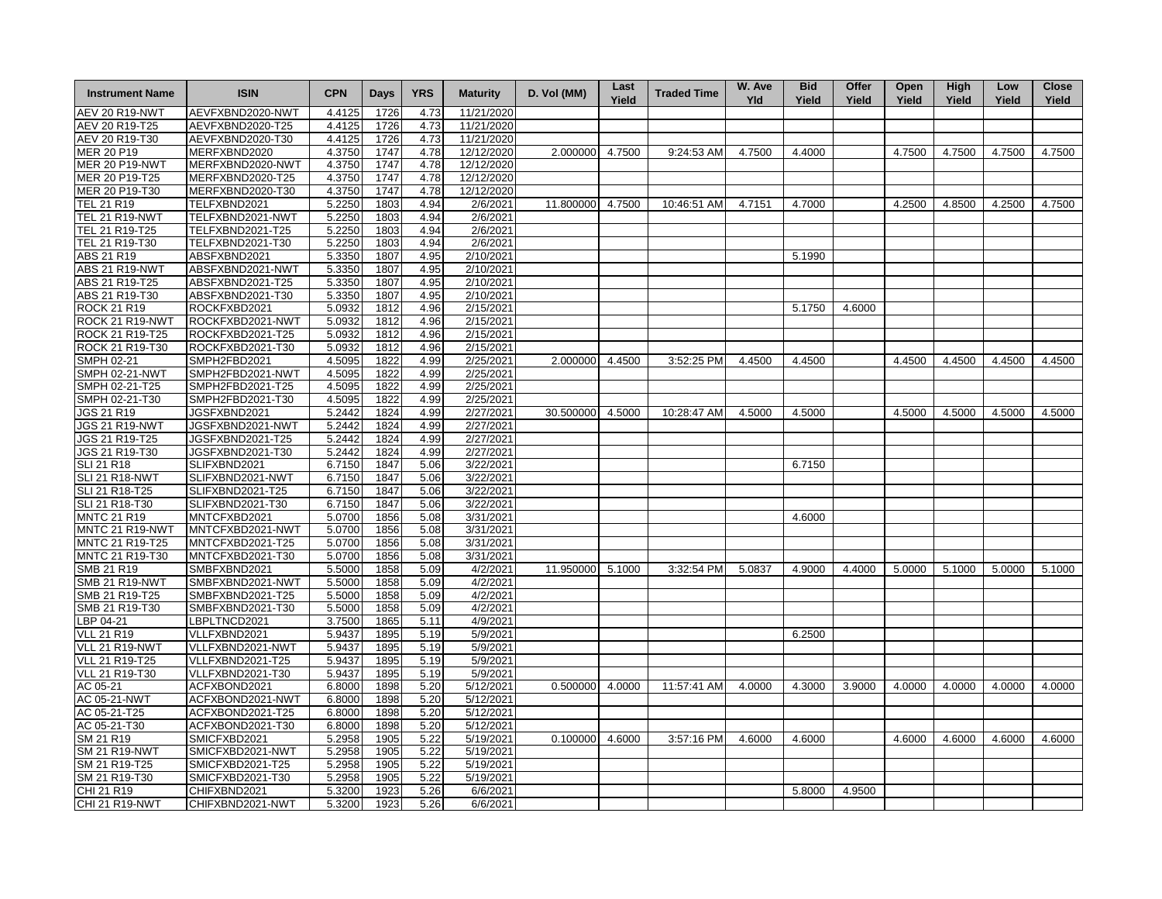| <b>Instrument Name</b> | <b>ISIN</b>      | <b>CPN</b> | <b>Days</b> | <b>YRS</b> | <b>Maturity</b> | D. Vol (MM)      | Last<br>Yield | <b>Traded Time</b> | W. Ave<br><b>Yld</b> | <b>Bid</b><br>Yield | Offer<br>Yield | Open<br>Yield | High<br>Yield | Low<br>Yield | <b>Close</b><br>Yield |
|------------------------|------------------|------------|-------------|------------|-----------------|------------------|---------------|--------------------|----------------------|---------------------|----------------|---------------|---------------|--------------|-----------------------|
| <b>AEV 20 R19-NWT</b>  | AEVFXBND2020-NWT | 4.4125     | 1726        | 4.73       | 11/21/2020      |                  |               |                    |                      |                     |                |               |               |              |                       |
| AEV 20 R19-T25         | AEVFXBND2020-T25 | 4.4125     | 1726        | 4.73       | 11/21/2020      |                  |               |                    |                      |                     |                |               |               |              |                       |
| AEV 20 R19-T30         | AEVFXBND2020-T30 | 4.4125     | 1726        | 4.73       | 11/21/2020      |                  |               |                    |                      |                     |                |               |               |              |                       |
| MER 20 P19             | MERFXBND2020     | 4.3750     | 1747        | 4.78       | 12/12/2020      | 2.000000         | 4.7500        | 9:24:53 AM         | 4.7500               | 4.4000              |                | 4.7500        | 4.7500        | 4.7500       | 4.7500                |
| <b>MER 20 P19-NWT</b>  | MERFXBND2020-NWT | 4.3750     | 1747        | 4.78       | 12/12/2020      |                  |               |                    |                      |                     |                |               |               |              |                       |
| MER 20 P19-T25         | MERFXBND2020-T25 | 4.3750     | 1747        | 4.78       | 12/12/2020      |                  |               |                    |                      |                     |                |               |               |              |                       |
| MER 20 P19-T30         | MERFXBND2020-T30 | 4.3750     | 1747        | 4.78       | 12/12/2020      |                  |               |                    |                      |                     |                |               |               |              |                       |
| TEL 21 R19             | TELFXBND2021     | 5.2250     | 1803        | 4.94       | 2/6/2021        | 11.800000        | 4.7500        | 10:46:51 AM        | 4.7151               | 4.7000              |                | 4.2500        | 4.8500        | 4.2500       | 4.7500                |
| <b>TEL 21 R19-NWT</b>  | TELFXBND2021-NWT | 5.2250     | 1803        | 4.94       | 2/6/2021        |                  |               |                    |                      |                     |                |               |               |              |                       |
| TEL 21 R19-T25         | TELFXBND2021-T25 | 5.2250     | 1803        | 4.94       | 2/6/2021        |                  |               |                    |                      |                     |                |               |               |              |                       |
| TEL 21 R19-T30         | TELFXBND2021-T30 | 5.2250     | 1803        | 4.94       | 2/6/2021        |                  |               |                    |                      |                     |                |               |               |              |                       |
| ABS 21 R19             | ABSFXBND2021     | 5.3350     | 1807        | 4.95       | 2/10/2021       |                  |               |                    |                      | 5.1990              |                |               |               |              |                       |
| <b>ABS 21 R19-NWT</b>  | ABSFXBND2021-NWT | 5.3350     | 1807        | 4.95       | 2/10/2021       |                  |               |                    |                      |                     |                |               |               |              |                       |
| ABS 21 R19-T25         | ABSFXBND2021-T25 | 5.3350     | 1807        | 4.95       | 2/10/2021       |                  |               |                    |                      |                     |                |               |               |              |                       |
| ABS 21 R19-T30         | ABSFXBND2021-T30 | 5.3350     | 1807        | 4.95       | 2/10/2021       |                  |               |                    |                      |                     |                |               |               |              |                       |
| <b>ROCK 21 R19</b>     | ROCKFXBD2021     | 5.0932     | 1812        | 4.96       | 2/15/2021       |                  |               |                    |                      | 5.1750              | 4.6000         |               |               |              |                       |
| ROCK 21 R19-NWT        | ROCKFXBD2021-NWT | 5.0932     | 1812        | 4.96       | 2/15/2021       |                  |               |                    |                      |                     |                |               |               |              |                       |
| ROCK 21 R19-T25        | ROCKFXBD2021-T25 | 5.0932     | 1812        | 4.96       | 2/15/2021       |                  |               |                    |                      |                     |                |               |               |              |                       |
| ROCK 21 R19-T30        | ROCKFXBD2021-T30 | 5.0932     | 1812        | 4.96       | 2/15/2021       |                  |               |                    |                      |                     |                |               |               |              |                       |
| SMPH 02-21             | SMPH2FBD2021     | 4.5095     | 1822        | 4.99       | 2/25/2021       | 2.000000         | 4.4500        | 3:52:25 PM         | 4.4500               | 4.4500              |                | 4.4500        | 4.4500        | 4.4500       | 4.4500                |
| <b>SMPH 02-21-NWT</b>  | SMPH2FBD2021-NWT | 4.5095     | 1822        | 4.99       | 2/25/2021       |                  |               |                    |                      |                     |                |               |               |              |                       |
| SMPH 02-21-T25         | SMPH2FBD2021-T25 | 4.5095     | 1822        | 4.99       | 2/25/2021       |                  |               |                    |                      |                     |                |               |               |              |                       |
| SMPH 02-21-T30         | SMPH2FBD2021-T30 | 4.5095     | 1822        | 4.99       | 2/25/2021       |                  |               |                    |                      |                     |                |               |               |              |                       |
| <b>JGS 21 R19</b>      | JGSFXBND2021     | 5.2442     | 1824        | 4.99       | 2/27/2021       | 30.500000        | 4.5000        | 10:28:47 AM        | 4.5000               | 4.5000              |                | 4.5000        | 4.5000        | 4.5000       | 4.5000                |
| <b>JGS 21 R19-NWT</b>  | JGSFXBND2021-NWT | 5.2442     | 1824        | 4.99       | 2/27/2021       |                  |               |                    |                      |                     |                |               |               |              |                       |
| JGS 21 R19-T25         | JGSFXBND2021-T25 | 5.2442     | 1824        | 4.99       | 2/27/2021       |                  |               |                    |                      |                     |                |               |               |              |                       |
| JGS 21 R19-T30         | JGSFXBND2021-T30 | 5.2442     | 1824        | 4.99       | 2/27/2021       |                  |               |                    |                      |                     |                |               |               |              |                       |
| <b>SLI 21 R18</b>      | SLIFXBND2021     | 6.7150     | 1847        | 5.06       | 3/22/2021       |                  |               |                    |                      | 6.7150              |                |               |               |              |                       |
| <b>SLI 21 R18-NWT</b>  | SLIFXBND2021-NWT | 6.7150     | 1847        | 5.06       | 3/22/2021       |                  |               |                    |                      |                     |                |               |               |              |                       |
| SLI 21 R18-T25         | SLIFXBND2021-T25 | 6.7150     | 1847        | 5.06       | 3/22/2021       |                  |               |                    |                      |                     |                |               |               |              |                       |
| SLI 21 R18-T30         | SLIFXBND2021-T30 | 6.7150     | 1847        | 5.06       | 3/22/2021       |                  |               |                    |                      |                     |                |               |               |              |                       |
| <b>MNTC 21 R19</b>     | MNTCFXBD2021     | 5.0700     | 1856        | 5.08       | 3/31/2021       |                  |               |                    |                      | 4.6000              |                |               |               |              |                       |
| <b>MNTC 21 R19-NWT</b> | MNTCFXBD2021-NWT | 5.0700     | 1856        | 5.08       | 3/31/2021       |                  |               |                    |                      |                     |                |               |               |              |                       |
| MNTC 21 R19-T25        | MNTCFXBD2021-T25 | 5.0700     | 1856        | 5.08       | 3/31/2021       |                  |               |                    |                      |                     |                |               |               |              |                       |
| MNTC 21 R19-T30        | MNTCFXBD2021-T30 | 5.0700     | 1856        | 5.08       | 3/31/2021       |                  |               |                    |                      |                     |                |               |               |              |                       |
| SMB 21 R19             | SMBFXBND2021     | 5.5000     | 1858        | 5.09       | 4/2/2021        | 11.950000 5.1000 |               | 3:32:54 PM         | 5.0837               | 4.9000              | 4.4000         | 5.0000        | 5.1000        | 5.0000       | 5.1000                |
| <b>SMB 21 R19-NWT</b>  | SMBFXBND2021-NWT | 5.5000     | 1858        | 5.09       | 4/2/2021        |                  |               |                    |                      |                     |                |               |               |              |                       |
| SMB 21 R19-T25         | SMBFXBND2021-T25 | 5.5000     | 1858        | 5.09       | 4/2/2021        |                  |               |                    |                      |                     |                |               |               |              |                       |
| SMB 21 R19-T30         | SMBFXBND2021-T30 | 5.5000     | 1858        | 5.09       | 4/2/2021        |                  |               |                    |                      |                     |                |               |               |              |                       |
| BP 04-21               | LBPLTNCD2021     | 3.7500     | 1865        | 5.11       | 4/9/2021        |                  |               |                    |                      |                     |                |               |               |              |                       |
| <b>VLL 21 R19</b>      | VLLFXBND2021     | 5.9437     | 1895        | 5.19       | 5/9/2021        |                  |               |                    |                      | 6.2500              |                |               |               |              |                       |
| VLL 21 R19-NWT         | VLLFXBND2021-NWT | 5.9437     | 1895        | 5.19       | 5/9/2021        |                  |               |                    |                      |                     |                |               |               |              |                       |
| VLL 21 R19-T25         | VLLFXBND2021-T25 | 5.9437     | 1895        | 5.19       | 5/9/2021        |                  |               |                    |                      |                     |                |               |               |              |                       |
| <b>VLL 21 R19-T30</b>  | VLLFXBND2021-T30 | 5.9437     | 1895        | 5.19       | 5/9/2021        |                  |               |                    |                      |                     |                |               |               |              |                       |
| AC 05-21               | ACFXBOND2021     | 6.8000     | 1898        | 5.20       | 5/12/2021       | 0.500000 4.0000  |               | 11:57:41 AM        | 4.0000               | 4.3000              | 3.9000         | 4.0000        | 4.0000        | 4.0000       | 4.0000                |
| AC 05-21-NWT           | ACFXBOND2021-NWT | 6.8000     | 1898        | 5.20       | 5/12/2021       |                  |               |                    |                      |                     |                |               |               |              |                       |
| AC 05-21-T25           | ACFXBOND2021-T25 | 6.8000     | 1898        | 5.20       | 5/12/2021       |                  |               |                    |                      |                     |                |               |               |              |                       |
| AC 05-21-T30           | ACFXBOND2021-T30 | 6.8000     | 1898        | 5.20       | 5/12/2021       |                  |               |                    |                      |                     |                |               |               |              |                       |
| SM 21 R19              | SMICFXBD2021     | 5.2958     | 1905        | 5.22       | 5/19/2021       | 0.100000         | 4.6000        | 3:57:16 PM         | 4.6000               | 4.6000              |                | 4.6000        | 4.6000        | 4.6000       | 4.6000                |
| <b>SM 21 R19-NWT</b>   | SMICFXBD2021-NWT | 5.2958     | 1905        | 5.22       | 5/19/2021       |                  |               |                    |                      |                     |                |               |               |              |                       |
| SM 21 R19-T25          | SMICFXBD2021-T25 | 5.2958     | 1905        | 5.22       | 5/19/2021       |                  |               |                    |                      |                     |                |               |               |              |                       |
| SM 21 R19-T30          | SMICFXBD2021-T30 | 5.2958     | 1905        | 5.22       | 5/19/2021       |                  |               |                    |                      |                     |                |               |               |              |                       |
| CHI 21 R19             | CHIFXBND2021     | 5.3200     | 1923        | 5.26       | 6/6/2021        |                  |               |                    |                      | 5.8000              | 4.9500         |               |               |              |                       |
| <b>CHI 21 R19-NWT</b>  | CHIFXBND2021-NWT | 5.3200     | 1923        | 5.26       | 6/6/2021        |                  |               |                    |                      |                     |                |               |               |              |                       |
|                        |                  |            |             |            |                 |                  |               |                    |                      |                     |                |               |               |              |                       |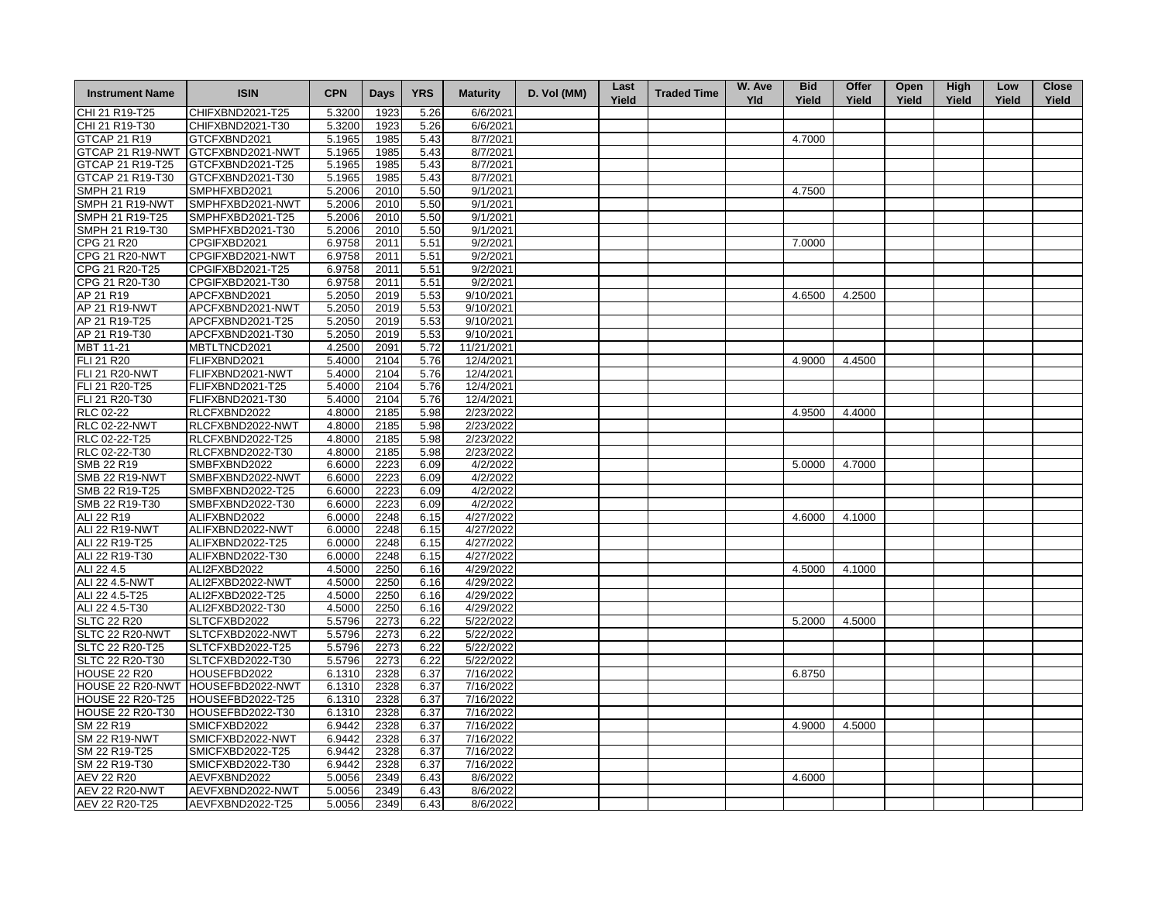| <b>Instrument Name</b>  | <b>ISIN</b>      | <b>CPN</b> | Days | <b>YRS</b> | <b>Maturity</b> | D. Vol (MM) | Last<br>Yield | <b>Traded Time</b> | W. Ave<br><b>Yld</b> | <b>Bid</b><br>Yield | Offer<br>Yield | Open<br>Yield | <b>High</b><br>Yield | Low<br>Yield | <b>Close</b><br>Yield |
|-------------------------|------------------|------------|------|------------|-----------------|-------------|---------------|--------------------|----------------------|---------------------|----------------|---------------|----------------------|--------------|-----------------------|
| CHI 21 R19-T25          | CHIFXBND2021-T25 | 5.3200     | 1923 | 5.26       | 6/6/2021        |             |               |                    |                      |                     |                |               |                      |              |                       |
| CHI 21 R19-T30          | CHIFXBND2021-T30 | 5.3200     | 1923 | 5.26       | 6/6/2021        |             |               |                    |                      |                     |                |               |                      |              |                       |
| GTCAP 21 R19            | GTCFXBND2021     | 5.1965     | 1985 | 5.43       | 8/7/2021        |             |               |                    |                      | 4.7000              |                |               |                      |              |                       |
| GTCAP 21 R19-NWT        | GTCFXBND2021-NWT | 5.1965     | 1985 | 5.43       | 8/7/2021        |             |               |                    |                      |                     |                |               |                      |              |                       |
| GTCAP 21 R19-T25        | GTCFXBND2021-T25 | 5.1965     | 1985 | 5.43       | 8/7/2021        |             |               |                    |                      |                     |                |               |                      |              |                       |
| GTCAP 21 R19-T30        | GTCFXBND2021-T30 | 5.1965     | 1985 | 5.43       | 8/7/2021        |             |               |                    |                      |                     |                |               |                      |              |                       |
| <b>SMPH 21 R19</b>      | SMPHFXBD2021     | 5.2006     | 2010 | 5.50       | 9/1/2021        |             |               |                    |                      | 4.7500              |                |               |                      |              |                       |
| SMPH 21 R19-NWT         | SMPHFXBD2021-NWT | 5.2006     | 2010 | 5.50       | 9/1/2021        |             |               |                    |                      |                     |                |               |                      |              |                       |
| SMPH 21 R19-T25         | SMPHFXBD2021-T25 | 5.2006     | 2010 | 5.50       | 9/1/2021        |             |               |                    |                      |                     |                |               |                      |              |                       |
| SMPH 21 R19-T30         | SMPHFXBD2021-T30 | 5.2006     | 2010 | 5.50       | 9/1/2021        |             |               |                    |                      |                     |                |               |                      |              |                       |
| CPG 21 R20              | CPGIFXBD2021     | 6.9758     | 2011 | 5.51       | 9/2/2021        |             |               |                    |                      | 7.0000              |                |               |                      |              |                       |
| <b>CPG 21 R20-NWT</b>   | CPGIFXBD2021-NWT | 6.9758     | 2011 | 5.51       | 9/2/2021        |             |               |                    |                      |                     |                |               |                      |              |                       |
| CPG 21 R20-T25          | CPGIFXBD2021-T25 | 6.9758     | 2011 | 5.51       | 9/2/2021        |             |               |                    |                      |                     |                |               |                      |              |                       |
| CPG 21 R20-T30          | CPGIFXBD2021-T30 | 6.9758     | 2011 | 5.51       | 9/2/2021        |             |               |                    |                      |                     |                |               |                      |              |                       |
| AP 21 R19               | APCFXBND2021     | 5.2050     | 2019 | 5.53       | 9/10/2021       |             |               |                    |                      | 4.6500              | 4.2500         |               |                      |              |                       |
| AP 21 R19-NWT           | APCFXBND2021-NWT | 5.2050     | 2019 | 5.53       | 9/10/2021       |             |               |                    |                      |                     |                |               |                      |              |                       |
| AP 21 R19-T25           | APCFXBND2021-T25 | 5.2050     | 2019 | 5.53       | 9/10/2021       |             |               |                    |                      |                     |                |               |                      |              |                       |
| AP 21 R19-T30           | APCFXBND2021-T30 | 5.2050     | 2019 | 5.53       | 9/10/2021       |             |               |                    |                      |                     |                |               |                      |              |                       |
| MBT 11-21               | MBTLTNCD2021     | 4.2500     | 2091 | 5.72       | 11/21/2021      |             |               |                    |                      |                     |                |               |                      |              |                       |
| FLI 21 R20              | FLIFXBND2021     | 5.4000     | 2104 | 5.76       | 12/4/2021       |             |               |                    |                      | 4.9000              | 4.4500         |               |                      |              |                       |
| FLI 21 R20-NWT          | FLIFXBND2021-NWT | 5.4000     | 2104 | 5.76       | 12/4/2021       |             |               |                    |                      |                     |                |               |                      |              |                       |
| FLI 21 R20-T25          | FLIFXBND2021-T25 | 5.4000     | 2104 | 5.76       | 12/4/2021       |             |               |                    |                      |                     |                |               |                      |              |                       |
| FLI 21 R20-T30          | FLIFXBND2021-T30 | 5.4000     | 2104 | 5.76       | 12/4/2021       |             |               |                    |                      |                     |                |               |                      |              |                       |
| <b>RLC 02-22</b>        | RLCFXBND2022     | 4.8000     | 2185 | 5.98       | 2/23/2022       |             |               |                    |                      | 4.9500              | 4.4000         |               |                      |              |                       |
| <b>RLC 02-22-NWT</b>    | RLCFXBND2022-NWT | 4.8000     | 2185 | 5.98       | 2/23/2022       |             |               |                    |                      |                     |                |               |                      |              |                       |
| RLC 02-22-T25           | RLCFXBND2022-T25 | 4.8000     | 2185 | 5.98       | 2/23/2022       |             |               |                    |                      |                     |                |               |                      |              |                       |
| RLC 02-22-T30           | RLCFXBND2022-T30 | 4.8000     | 2185 | 5.98       | 2/23/2022       |             |               |                    |                      |                     |                |               |                      |              |                       |
| SMB 22 R19              | SMBFXBND2022     | 6.6000     | 2223 | 6.09       | 4/2/2022        |             |               |                    |                      | 5.0000              | 4.7000         |               |                      |              |                       |
| <b>SMB 22 R19-NWT</b>   | SMBFXBND2022-NWT | 6.6000     | 2223 | 6.09       | 4/2/2022        |             |               |                    |                      |                     |                |               |                      |              |                       |
| SMB 22 R19-T25          | SMBFXBND2022-T25 | 6.6000     | 2223 | 6.09       | 4/2/2022        |             |               |                    |                      |                     |                |               |                      |              |                       |
| SMB 22 R19-T30          | SMBFXBND2022-T30 | 6.6000     | 2223 | 6.09       | 4/2/2022        |             |               |                    |                      |                     |                |               |                      |              |                       |
| ALI 22 R19              | ALIFXBND2022     | 6.0000     | 2248 | 6.15       | 4/27/2022       |             |               |                    |                      | 4.6000              | 4.1000         |               |                      |              |                       |
| ALI 22 R19-NWT          | ALIFXBND2022-NWT | 6.0000     | 2248 | 6.15       | 4/27/2022       |             |               |                    |                      |                     |                |               |                      |              |                       |
| ALI 22 R19-T25          | ALIFXBND2022-T25 | 6.0000     | 2248 | 6.15       | 4/27/2022       |             |               |                    |                      |                     |                |               |                      |              |                       |
| ALI 22 R19-T30          | ALIFXBND2022-T30 | 6.0000     | 2248 | 6.15       | 4/27/2022       |             |               |                    |                      |                     |                |               |                      |              |                       |
| ALI 22 4.5              | ALI2FXBD2022     | 4.5000     | 2250 | 6.16       | 4/29/2022       |             |               |                    |                      | 4.5000              | 4.1000         |               |                      |              |                       |
| ALI 22 4.5-NWT          | ALI2FXBD2022-NWT | 4.5000     | 2250 | 6.16       | 4/29/2022       |             |               |                    |                      |                     |                |               |                      |              |                       |
| ALI 22 4.5-T25          | ALI2FXBD2022-T25 | 4.5000     | 2250 | 6.16       | 4/29/2022       |             |               |                    |                      |                     |                |               |                      |              |                       |
| ALI 22 4.5-T30          | ALI2FXBD2022-T30 | 4.5000     | 2250 | 6.16       | 4/29/2022       |             |               |                    |                      |                     |                |               |                      |              |                       |
| <b>SLTC 22 R20</b>      | SLTCFXBD2022     | 5.5796     | 2273 | 6.22       | 5/22/2022       |             |               |                    |                      | 5.2000              | 4.5000         |               |                      |              |                       |
| SLTC 22 R20-NWT         | SLTCFXBD2022-NWT | 5.5796     | 2273 | 6.22       | 5/22/2022       |             |               |                    |                      |                     |                |               |                      |              |                       |
| SLTC 22 R20-T25         | SLTCFXBD2022-T25 | 5.5796     | 2273 | 6.22       | 5/22/2022       |             |               |                    |                      |                     |                |               |                      |              |                       |
| SLTC 22 R20-T30         | SLTCFXBD2022-T30 | 5.5796     | 2273 | 6.22       | 5/22/2022       |             |               |                    |                      |                     |                |               |                      |              |                       |
| <b>HOUSE 22 R20</b>     | HOUSEFBD2022     | 6.1310     | 2328 | 6.37       | 7/16/2022       |             |               |                    |                      | 6.8750              |                |               |                      |              |                       |
| HOUSE 22 R20-NWT        | HOUSEFBD2022-NWT | 6.1310     | 2328 | 6.37       | 7/16/2022       |             |               |                    |                      |                     |                |               |                      |              |                       |
| <b>HOUSE 22 R20-T25</b> | HOUSEFBD2022-T25 | 6.1310     | 2328 | 6.37       | 7/16/2022       |             |               |                    |                      |                     |                |               |                      |              |                       |
|                         |                  |            | 2328 |            |                 |             |               |                    |                      |                     |                |               |                      |              |                       |
| <b>HOUSE 22 R20-T30</b> | HOUSEFBD2022-T30 | 6.1310     |      | 6.37       | 7/16/2022       |             |               |                    |                      | 4.9000              |                |               |                      |              |                       |
| SM 22 R19               | SMICFXBD2022     | 6.9442     | 2328 | 6.37       | 7/16/2022       |             |               |                    |                      |                     | 4.5000         |               |                      |              |                       |
| <b>SM 22 R19-NWT</b>    | SMICFXBD2022-NWT | 6.9442     | 2328 | 6.37       | 7/16/2022       |             |               |                    |                      |                     |                |               |                      |              |                       |
| SM 22 R19-T25           | SMICFXBD2022-T25 | 6.9442     | 2328 | 6.37       | 7/16/2022       |             |               |                    |                      |                     |                |               |                      |              |                       |
| SM 22 R19-T30           | SMICFXBD2022-T30 | 6.9442     | 2328 | 6.37       | 7/16/2022       |             |               |                    |                      |                     |                |               |                      |              |                       |
| <b>AEV 22 R20</b>       | AEVFXBND2022     | 5.0056     | 2349 | 6.43       | 8/6/2022        |             |               |                    |                      | 4.6000              |                |               |                      |              |                       |
| <b>AEV 22 R20-NWT</b>   | AEVFXBND2022-NWT | 5.0056     | 2349 | 6.43       | 8/6/2022        |             |               |                    |                      |                     |                |               |                      |              |                       |
| AEV 22 R20-T25          | AEVFXBND2022-T25 | 5.0056     | 2349 | 6.43       | 8/6/2022        |             |               |                    |                      |                     |                |               |                      |              |                       |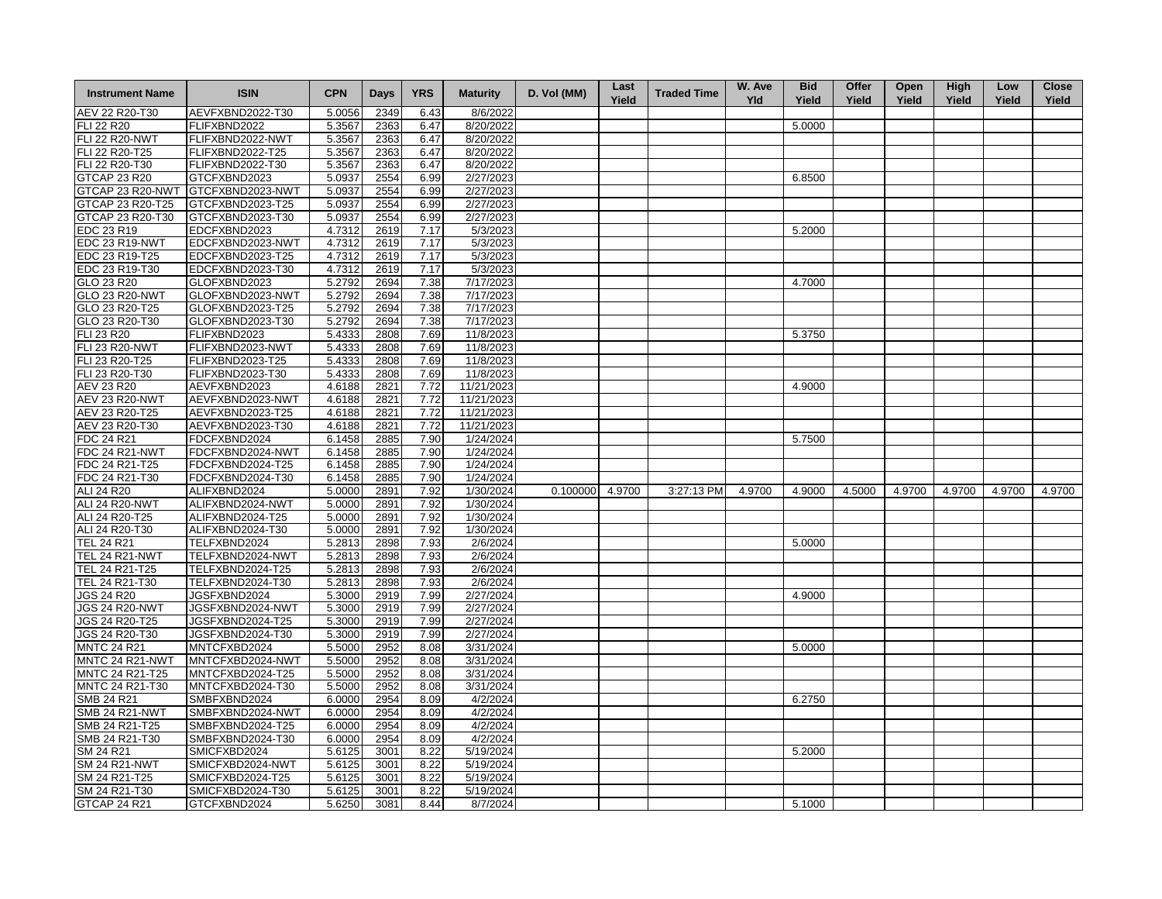| <b>Instrument Name</b>             | <b>ISIN</b>                          | <b>CPN</b>       | <b>Days</b>  | <b>YRS</b>   | <b>Maturity</b>       | D. Vol (MM)     | Last<br>Yield | <b>Traded Time</b> | W. Ave<br><b>Yld</b> | <b>Bid</b><br>Yield | Offer<br>Yield | Open<br>Yield | <b>High</b><br>Yield | Low<br>Yield | <b>Close</b><br>Yield |
|------------------------------------|--------------------------------------|------------------|--------------|--------------|-----------------------|-----------------|---------------|--------------------|----------------------|---------------------|----------------|---------------|----------------------|--------------|-----------------------|
| AEV 22 R20-T30                     | AEVFXBND2022-T30                     | 5.0056           | 2349         | 6.43         | 8/6/2022              |                 |               |                    |                      |                     |                |               |                      |              |                       |
| FLI 22 R20                         | FLIFXBND2022                         | 5.3567           | 2363         | 6.47         | 8/20/2022             |                 |               |                    |                      | 5.0000              |                |               |                      |              |                       |
| <b>FLI 22 R20-NWT</b>              | FLIFXBND2022-NWT                     | 5.3567           | 2363         | 6.47         | 8/20/2022             |                 |               |                    |                      |                     |                |               |                      |              |                       |
| FLI 22 R20-T25                     | FLIFXBND2022-T25                     | 5.3567           | 2363         | 6.47         | 8/20/2022             |                 |               |                    |                      |                     |                |               |                      |              |                       |
| FLI 22 R20-T30                     | FLIFXBND2022-T30                     | 5.3567           | 2363         | 6.47         | 8/20/2022             |                 |               |                    |                      |                     |                |               |                      |              |                       |
| <b>GTCAP 23 R20</b>                | GTCFXBND2023                         | 5.0937           | 2554         | 6.99         | 2/27/2023             |                 |               |                    |                      | 6.8500              |                |               |                      |              |                       |
|                                    | GTCAP 23 R20-NWT GTCFXBND2023-NWT    | 5.0937           | 2554         | 6.99         | 2/27/2023             |                 |               |                    |                      |                     |                |               |                      |              |                       |
| GTCAP 23 R20-T25                   | GTCFXBND2023-T25                     | 5.0937           | 2554         | 6.99         | 2/27/2023             |                 |               |                    |                      |                     |                |               |                      |              |                       |
| GTCAP 23 R20-T30                   | GTCFXBND2023-T30                     | 5.0937           | 2554         | 6.99         | 2/27/2023             |                 |               |                    |                      |                     |                |               |                      |              |                       |
| EDC 23 R19                         | EDCFXBND2023                         | 4.7312           | 2619         | 7.17         | 5/3/2023              |                 |               |                    |                      | 5.2000              |                |               |                      |              |                       |
| EDC 23 R19-NWT                     | EDCFXBND2023-NWT                     | 4.7312           | 2619         | 7.17         | 5/3/2023              |                 |               |                    |                      |                     |                |               |                      |              |                       |
| EDC 23 R19-T25                     | EDCFXBND2023-T25                     | 4.7312           | 2619         | 7.17         | 5/3/2023              |                 |               |                    |                      |                     |                |               |                      |              |                       |
| EDC 23 R19-T30                     | EDCFXBND2023-T30                     | 4.7312           | 2619         | 7.17         | 5/3/2023              |                 |               |                    |                      |                     |                |               |                      |              |                       |
| GLO 23 R20                         | GLOFXBND2023                         | 5.2792           | 2694         | 7.38         | 7/17/2023             |                 |               |                    |                      | 4.7000              |                |               |                      |              |                       |
| <b>GLO 23 R20-NWT</b>              | GLOFXBND2023-NWT                     | 5.2792           | 2694         | 7.38         | 7/17/2023             |                 |               |                    |                      |                     |                |               |                      |              |                       |
| GLO 23 R20-T25                     | GLOFXBND2023-T25                     | 5.2792           | 2694         | 7.38         | 7/17/2023             |                 |               |                    |                      |                     |                |               |                      |              |                       |
| GLO 23 R20-T30                     | GLOFXBND2023-T30                     | 5.2792           | 2694         | 7.38         | 7/17/2023             |                 |               |                    |                      |                     |                |               |                      |              |                       |
| FLI 23 R20                         | FLIFXBND2023                         | 5.4333           | 2808         | 7.69         | 11/8/2023             |                 |               |                    |                      | 5.3750              |                |               |                      |              |                       |
| <b>FLI 23 R20-NWT</b>              | FLIFXBND2023-NWT                     | 5.4333           | 2808         | 7.69         | 11/8/2023             |                 |               |                    |                      |                     |                |               |                      |              |                       |
| FLI 23 R20-T25                     | FLIFXBND2023-T25                     | 5.4333           | 2808         | 7.69         | 11/8/2023             |                 |               |                    |                      |                     |                |               |                      |              |                       |
| FLI 23 R20-T30                     | FLIFXBND2023-T30                     | 5.4333           | 2808         | 7.69         | 11/8/2023             |                 |               |                    |                      |                     |                |               |                      |              |                       |
| AEV 23 R20                         | AEVFXBND2023                         | 4.6188           | 2821         | 7.72         | 11/21/2023            |                 |               |                    |                      | 4.9000              |                |               |                      |              |                       |
| <b>AEV 23 R20-NWT</b>              | AEVFXBND2023-NWT                     | 4.6188           | 2821         | 7.72         | 11/21/2023            |                 |               |                    |                      |                     |                |               |                      |              |                       |
| AEV 23 R20-T25                     | AEVFXBND2023-T25                     | 4.6188           | 2821         | 7.72         | 11/21/2023            |                 |               |                    |                      |                     |                |               |                      |              |                       |
| AEV 23 R20-T30                     | AEVFXBND2023-T30                     | 4.6188           | 2821         | 7.72         | 11/21/2023            |                 |               |                    |                      |                     |                |               |                      |              |                       |
| FDC 24 R21                         | FDCFXBND2024                         | 6.1458           | 2885         | 7.90         | 1/24/2024             |                 |               |                    |                      | 5.7500              |                |               |                      |              |                       |
| <b>FDC 24 R21-NWT</b>              | FDCFXBND2024-NWT                     | 6.1458           | 2885         | 7.90         | 1/24/2024             |                 |               |                    |                      |                     |                |               |                      |              |                       |
| FDC 24 R21-T25                     | FDCFXBND2024-T25                     | 6.1458           | 2885         | 7.90         | 1/24/2024             |                 |               |                    |                      |                     |                |               |                      |              |                       |
| FDC 24 R21-T30                     | FDCFXBND2024-T30                     | 6.1458           | 2885         | 7.90         | 1/24/2024             |                 |               |                    |                      |                     |                |               |                      |              |                       |
| ALI 24 R20                         | ALIFXBND2024                         | 5.0000           | 2891         | 7.92         | 1/30/2024             | 0.100000 4.9700 |               | 3:27:13 PM         | 4.9700               | 4.9000              | 4.5000         | 4.9700        | 4.9700               | 4.9700       | 4.9700                |
| <b>ALI 24 R20-NWT</b>              | ALIFXBND2024-NWT                     | 5.0000           | 2891         | 7.92         | 1/30/2024             |                 |               |                    |                      |                     |                |               |                      |              |                       |
| ALI 24 R20-T25                     | ALIFXBND2024-T25                     | 5.0000           | 2891         | 7.92         | 1/30/2024             |                 |               |                    |                      |                     |                |               |                      |              |                       |
| ALI 24 R20-T30                     | ALIFXBND2024-T30                     | 5.0000           | 2891         | 7.92         | 1/30/2024             |                 |               |                    |                      |                     |                |               |                      |              |                       |
| <b>TEL 24 R21</b>                  | TELFXBND2024                         |                  |              |              | 2/6/2024              |                 |               |                    |                      |                     |                |               |                      |              |                       |
|                                    |                                      | 5.2813           | 2898         | 7.93<br>7.93 |                       |                 |               |                    |                      | 5.0000              |                |               |                      |              |                       |
| <b>TEL 24 R21-NWT</b>              | TELFXBND2024-NWT                     | 5.2813           | 2898         |              | 2/6/2024              |                 |               |                    |                      |                     |                |               |                      |              |                       |
| TEL 24 R21-T25                     | TELFXBND2024-T25                     | 5.2813           | 2898         | 7.93         | 2/6/2024              |                 |               |                    |                      |                     |                |               |                      |              |                       |
| TEL 24 R21-T30                     | TELFXBND2024-T30                     | 5.2813           | 2898         | 7.93         | 2/6/2024              |                 |               |                    |                      |                     |                |               |                      |              |                       |
| <b>JGS 24 R20</b>                  | JGSFXBND2024                         | 5.3000           | 2919         | 7.99         | 2/27/2024             |                 |               |                    |                      | 4.9000              |                |               |                      |              |                       |
| <b>JGS 24 R20-NWT</b>              | JGSFXBND2024-NWT                     | 5.3000           | 2919         | 7.99         | 2/27/2024             |                 |               |                    |                      |                     |                |               |                      |              |                       |
| <b>JGS 24 R20-T25</b>              | JGSFXBND2024-T25                     | 5.3000           | 2919         | 7.99         | 2/27/2024             |                 |               |                    |                      |                     |                |               |                      |              |                       |
| JGS 24 R20-T30                     | JGSFXBND2024-T30                     | 5.3000           | 2919         | 7.99         | 2/27/2024             |                 |               |                    |                      |                     |                |               |                      |              |                       |
| <b>MNTC 24 R21</b>                 | MNTCFXBD2024                         | 5.5000           | 2952         | 8.08         | 3/31/2024             |                 |               |                    |                      | 5.0000              |                |               |                      |              |                       |
| MNTC 24 R21-NWT                    | MNTCFXBD2024-NWT                     | 5.5000           | 2952         | 8.08         | 3/31/2024             |                 |               |                    |                      |                     |                |               |                      |              |                       |
| MNTC 24 R21-T25<br>MNTC 24 R21-T30 | MNTCFXBD2024-T25<br>MNTCFXBD2024-T30 | 5.5000           | 2952         | 8.08         | 3/31/2024             |                 |               |                    |                      |                     |                |               |                      |              |                       |
| SMB 24 R21                         | SMBFXBND2024                         | 5.5000<br>6.0000 | 2952<br>2954 | 8.08<br>8.09 | 3/31/2024<br>4/2/2024 |                 |               |                    |                      | 6.2750              |                |               |                      |              |                       |
| SMB 24 R21-NWT                     | SMBFXBND2024-NWT                     | 6.0000           | 2954         | 8.09         | 4/2/2024              |                 |               |                    |                      |                     |                |               |                      |              |                       |
| SMB 24 R21-T25                     | SMBFXBND2024-T25                     | 6.0000           | 2954         | 8.09         | 4/2/2024              |                 |               |                    |                      |                     |                |               |                      |              |                       |
| SMB 24 R21-T30                     | SMBFXBND2024-T30                     | 6.0000           | 2954         | 8.09         | 4/2/2024              |                 |               |                    |                      |                     |                |               |                      |              |                       |
| SM 24 R21                          | SMICFXBD2024                         | 5.6125           | 3001         | 8.22         | 5/19/2024             |                 |               |                    |                      | 5.2000              |                |               |                      |              |                       |
| <b>SM 24 R21-NWT</b>               | SMICFXBD2024-NWT                     | 5.6125           | 3001         | 8.22         | 5/19/2024             |                 |               |                    |                      |                     |                |               |                      |              |                       |
| SM 24 R21-T25                      | SMICFXBD2024-T25                     | 5.6125           | 3001         | 8.22         | 5/19/2024             |                 |               |                    |                      |                     |                |               |                      |              |                       |
| SM 24 R21-T30                      | SMICFXBD2024-T30                     | 5.6125           | 3001         | 8.22         | 5/19/2024             |                 |               |                    |                      |                     |                |               |                      |              |                       |
| <b>GTCAP 24 R21</b>                |                                      | 5.6250           | 3081         | 8.44         | 8/7/2024              |                 |               |                    |                      | 5.1000              |                |               |                      |              |                       |
|                                    | GTCFXBND2024                         |                  |              |              |                       |                 |               |                    |                      |                     |                |               |                      |              |                       |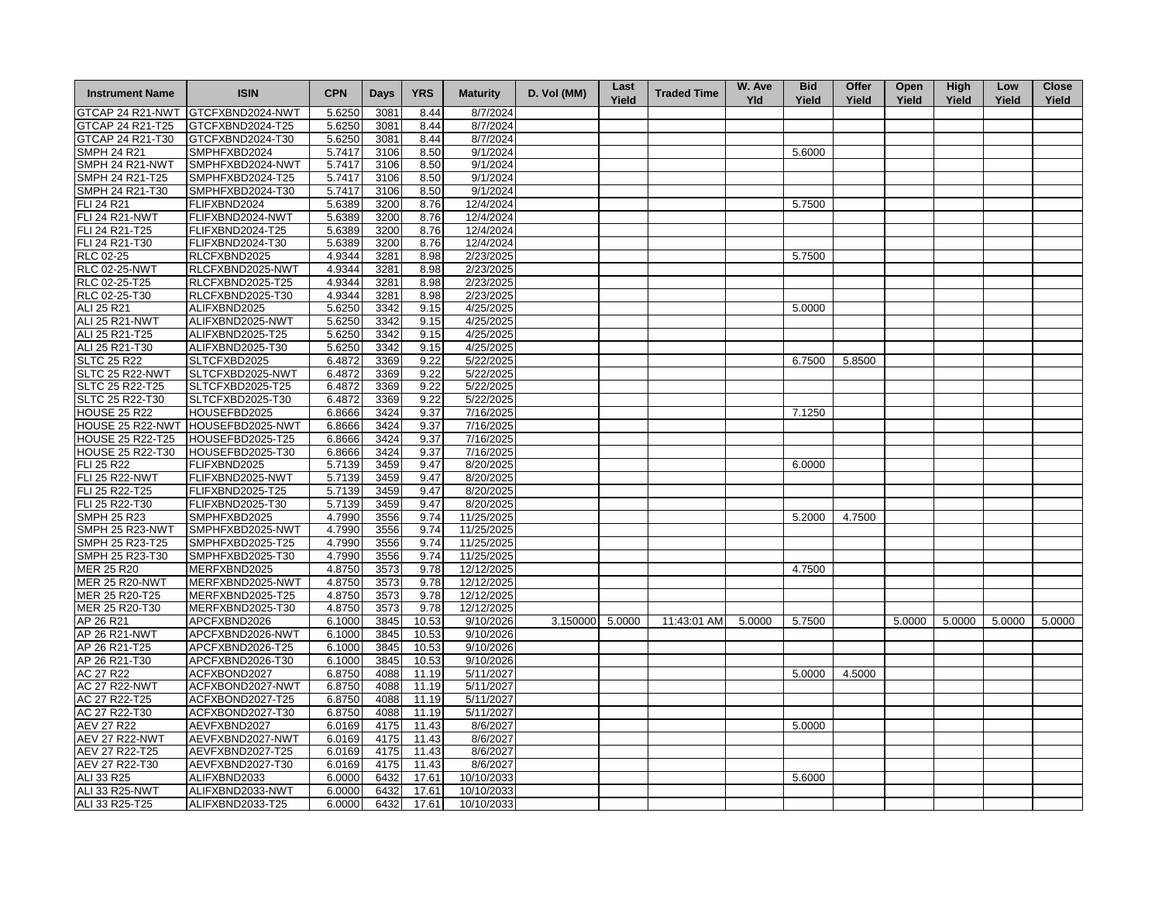| GTCFXBND2024-NWT<br>5.6250<br>3081<br>8.44<br>8/7/2024<br>GTCFXBND2024-T25<br>5.6250<br>3081<br>8.44<br>8/7/2024<br>GTCFXBND2024-T30<br>8/7/2024<br>5.6250<br>3081<br>8.44<br>SMPHFXBD2024<br>8.50<br>9/1/2024<br>5.6000<br>5.7417<br>3106<br>SMPH 24 R21-NWT<br>SMPHFXBD2024-NWT<br>5.7417<br>3106<br>8.50<br>9/1/2024<br>SMPH 24 R21-T25<br>SMPHFXBD2024-T25<br>8.50<br>9/1/2024<br>5.7417<br>3106<br>SMPH 24 R21-T30<br>SMPHFXBD2024-T30<br>5.7417<br>3106<br>8.50<br>9/1/2024<br><b>FLI 24 R21</b><br>FLIFXBND2024<br>5.6389<br>3200<br>8.76<br>12/4/2024<br>5.7500<br>FLI 24 R21-NWT<br>FLIFXBND2024-NWT<br>3200<br>8.76<br>12/4/2024<br>5.6389<br>FLI 24 R21-T25<br>FLIFXBND2024-T25<br>3200<br>8.76<br>12/4/2024<br>5.6389<br>FLI 24 R21-T30<br>FLIFXBND2024-T30<br>5.6389<br>3200<br>8.76<br>12/4/2024<br>RLC 02-25<br>RLCFXBND2025<br>4.9344<br>3281<br>8.98<br>2/23/2025<br>5.7500<br><b>RLC 02-25-NWT</b><br>RLCFXBND2025-NWT<br>4.9344<br>3281<br>8.98<br>2/23/2025<br>RLC 02-25-T25<br>RLCFXBND2025-T25<br>4.9344<br>3281<br>8.98<br>2/23/2025<br>RLC 02-25-T30<br>RLCFXBND2025-T30<br>4.9344<br>3281<br>8.98<br>2/23/2025<br>ALIFXBND2025<br>4/25/2025<br>ALI 25 R21<br>5.6250<br>3342<br>9.15<br>5.0000<br><b>ALI 25 R21-NWT</b><br>ALIFXBND2025-NWT<br>5.6250<br>3342<br>9.15<br>4/25/2025<br>ALI 25 R21-T25<br>ALIFXBND2025-T25<br>5.6250<br>3342<br>9.15<br>4/25/2025<br>ALI 25 R21-T30<br>ALIFXBND2025-T30<br>9.15<br>4/25/2025<br>5.6250<br>3342<br><b>SLTC 25 R22</b><br>SLTCFXBD2025<br>6.4872<br>3369<br>9.22<br>5/22/2025<br>6.7500<br>5.8500<br>SLTC 25 R22-NWT<br>SLTCFXBD2025-NWT<br>6.4872<br>3369<br>9.22<br>5/22/2025<br>SLTC 25 R22-T25<br>SLTCFXBD2025-T25<br>6.4872<br>9.22<br>5/22/2025<br>3369<br>SLTC 25 R22-T30<br>SLTCFXBD2025-T30<br>6.4872<br>3369<br>9.22<br>5/22/2025<br><b>HOUSE 25 R22</b><br>HOUSEFBD2025<br>3424<br>9.37<br>7/16/2025<br>7.1250<br>6.8666<br>HOUSE 25 R22-NWT<br>HOUSEFBD2025-NWT<br>3424<br>9.37<br>7/16/2025<br>6.8666<br><b>HOUSE 25 R22-T25</b><br>HOUSEFBD2025-T25<br>6.8666<br>3424<br>9.37<br>7/16/2025<br><b>HOUSE 25 R22-T30</b><br>HOUSEFBD2025-T30<br>6.8666<br>3424<br>9.37<br>7/16/2025<br>FLI 25 R22<br>FLIFXBND2025<br>5.7139<br>3459<br>9.47<br>8/20/2025<br>6.0000<br>5.7139<br>3459<br>9.47<br><b>FLI 25 R22-NWT</b><br>FLIFXBND2025-NWT<br>8/20/2025<br>FLI 25 R22-T25<br>FLIFXBND2025-T25<br>5.7139<br>3459<br>9.47<br>8/20/2025<br>FLI 25 R22-T30<br>FLIFXBND2025-T30<br>5.7139<br>3459<br>9.47<br>8/20/2025<br>4.7990<br>3556<br>9.74<br>11/25/2025<br>5.2000<br>SMPHFXBD2025<br>4.7500<br>SMPHFXBD2025-NWT<br>11/25/2025<br>4.7990<br>3556<br>9.74<br>11/25/2025<br>SMPHFXBD2025-T25<br>4.7990<br>3556<br>9.74<br>4.7990<br>3556<br>SMPHFXBD2025-T30<br>9.74<br>11/25/2025<br>MERFXBND2025<br>12/12/2025<br>4.8750<br>3573<br>9.78<br>4.7500<br>12/12/2025<br>MERFXBND2025-NWT<br>4.8750<br>3573<br>9.78<br>MERFXBND2025-T25<br>4.8750<br>3573<br>9.78<br>12/12/2025<br>MERFXBND2025-T30<br>4.8750<br>3573<br>9.78<br>12/12/2025<br>10.53<br>APCFXBND2026<br>6.1000<br>3845<br>9/10/2026<br>3.150000 5.0000<br>5.0000<br>5.7500<br>5.0000<br>5.0000<br>11:43:01 AM<br>5.0000<br>5.0000<br>APCFXBND2026-NWT<br>6.1000<br>3845<br>10.53<br>9/10/2026<br>10.53<br>APCFXBND2026-T25<br>6.1000<br>3845<br>9/10/2026<br>10.53<br>APCFXBND2026-T30<br>6.1000<br>3845<br>9/10/2026<br>ACFXBOND2027<br>6.8750<br>4088<br>11.19<br>5/11/2027<br>5.0000<br>4.5000<br>11.19<br>ACFXBOND2027-NWT<br>6.8750<br>4088<br>5/11/2027<br>11.19<br>ACFXBOND2027-T25<br>6.8750<br>4088<br>5/11/2027<br>ACFXBOND2027-T30<br>6.8750<br>4088<br>11.19<br>5/11/2027<br>AEVFXBND2027<br>11.43<br>6.0169<br>4175<br>8/6/2027<br>5.0000<br>11.43<br>AEVFXBND2027-NWT<br>6.0169<br>4175<br>8/6/2027<br>AEVFXBND2027-T25<br>6.0169<br>4175<br>11.43<br>8/6/2027<br>AEV 27 R22-T30<br>11.43<br>AEVFXBND2027-T30<br>6.0169<br>4175<br>8/6/2027<br>17.61<br>ALI 33 R25<br>ALIFXBND2033<br>6.0000<br>6432<br>10/10/2033<br>5.6000<br>6432<br>17.61<br>ALI 33 R25-NWT<br>ALIFXBND2033-NWT<br>6.0000<br>10/10/2033 | <b>Instrument Name</b> | <b>ISIN</b>      | <b>CPN</b> | <b>Days</b> | <b>YRS</b> | <b>Maturity</b> | D. Vol (MM) | Last<br>Yield | <b>Traded Time</b> | W. Ave<br>Yld | <b>Bid</b><br>Yield | Offer<br>Yield | Open<br>Yield | <b>High</b><br>Yield | Low<br>Yield | <b>Close</b><br>Yield |
|---------------------------------------------------------------------------------------------------------------------------------------------------------------------------------------------------------------------------------------------------------------------------------------------------------------------------------------------------------------------------------------------------------------------------------------------------------------------------------------------------------------------------------------------------------------------------------------------------------------------------------------------------------------------------------------------------------------------------------------------------------------------------------------------------------------------------------------------------------------------------------------------------------------------------------------------------------------------------------------------------------------------------------------------------------------------------------------------------------------------------------------------------------------------------------------------------------------------------------------------------------------------------------------------------------------------------------------------------------------------------------------------------------------------------------------------------------------------------------------------------------------------------------------------------------------------------------------------------------------------------------------------------------------------------------------------------------------------------------------------------------------------------------------------------------------------------------------------------------------------------------------------------------------------------------------------------------------------------------------------------------------------------------------------------------------------------------------------------------------------------------------------------------------------------------------------------------------------------------------------------------------------------------------------------------------------------------------------------------------------------------------------------------------------------------------------------------------------------------------------------------------------------------------------------------------------------------------------------------------------------------------------------------------------------------------------------------------------------------------------------------------------------------------------------------------------------------------------------------------------------------------------------------------------------------------------------------------------------------------------------------------------------------------------------------------------------------------------------------------------------------------------------------------------------------------------------------------------------------------------------------------------------------------------------------------------------------------------------------------------------------------------------------------------------------------------------------------------------------------------------------------------------------------------------------------------------------------------------------------------------------------------------------------------------------------------------------------------------------------------------------------------------------------------------------------------------------------------------------------------------------------------------------------------------------------------------------------------------------------------------------------------------------------------------------------------|------------------------|------------------|------------|-------------|------------|-----------------|-------------|---------------|--------------------|---------------|---------------------|----------------|---------------|----------------------|--------------|-----------------------|
|                                                                                                                                                                                                                                                                                                                                                                                                                                                                                                                                                                                                                                                                                                                                                                                                                                                                                                                                                                                                                                                                                                                                                                                                                                                                                                                                                                                                                                                                                                                                                                                                                                                                                                                                                                                                                                                                                                                                                                                                                                                                                                                                                                                                                                                                                                                                                                                                                                                                                                                                                                                                                                                                                                                                                                                                                                                                                                                                                                                                                                                                                                                                                                                                                                                                                                                                                                                                                                                                                                                                                                                                                                                                                                                                                                                                                                                                                                                                                                                                                                                                     | GTCAP 24 R21-NWT       |                  |            |             |            |                 |             |               |                    |               |                     |                |               |                      |              |                       |
|                                                                                                                                                                                                                                                                                                                                                                                                                                                                                                                                                                                                                                                                                                                                                                                                                                                                                                                                                                                                                                                                                                                                                                                                                                                                                                                                                                                                                                                                                                                                                                                                                                                                                                                                                                                                                                                                                                                                                                                                                                                                                                                                                                                                                                                                                                                                                                                                                                                                                                                                                                                                                                                                                                                                                                                                                                                                                                                                                                                                                                                                                                                                                                                                                                                                                                                                                                                                                                                                                                                                                                                                                                                                                                                                                                                                                                                                                                                                                                                                                                                                     | GTCAP 24 R21-T25       |                  |            |             |            |                 |             |               |                    |               |                     |                |               |                      |              |                       |
|                                                                                                                                                                                                                                                                                                                                                                                                                                                                                                                                                                                                                                                                                                                                                                                                                                                                                                                                                                                                                                                                                                                                                                                                                                                                                                                                                                                                                                                                                                                                                                                                                                                                                                                                                                                                                                                                                                                                                                                                                                                                                                                                                                                                                                                                                                                                                                                                                                                                                                                                                                                                                                                                                                                                                                                                                                                                                                                                                                                                                                                                                                                                                                                                                                                                                                                                                                                                                                                                                                                                                                                                                                                                                                                                                                                                                                                                                                                                                                                                                                                                     | GTCAP 24 R21-T30       |                  |            |             |            |                 |             |               |                    |               |                     |                |               |                      |              |                       |
|                                                                                                                                                                                                                                                                                                                                                                                                                                                                                                                                                                                                                                                                                                                                                                                                                                                                                                                                                                                                                                                                                                                                                                                                                                                                                                                                                                                                                                                                                                                                                                                                                                                                                                                                                                                                                                                                                                                                                                                                                                                                                                                                                                                                                                                                                                                                                                                                                                                                                                                                                                                                                                                                                                                                                                                                                                                                                                                                                                                                                                                                                                                                                                                                                                                                                                                                                                                                                                                                                                                                                                                                                                                                                                                                                                                                                                                                                                                                                                                                                                                                     | <b>SMPH 24 R21</b>     |                  |            |             |            |                 |             |               |                    |               |                     |                |               |                      |              |                       |
|                                                                                                                                                                                                                                                                                                                                                                                                                                                                                                                                                                                                                                                                                                                                                                                                                                                                                                                                                                                                                                                                                                                                                                                                                                                                                                                                                                                                                                                                                                                                                                                                                                                                                                                                                                                                                                                                                                                                                                                                                                                                                                                                                                                                                                                                                                                                                                                                                                                                                                                                                                                                                                                                                                                                                                                                                                                                                                                                                                                                                                                                                                                                                                                                                                                                                                                                                                                                                                                                                                                                                                                                                                                                                                                                                                                                                                                                                                                                                                                                                                                                     |                        |                  |            |             |            |                 |             |               |                    |               |                     |                |               |                      |              |                       |
|                                                                                                                                                                                                                                                                                                                                                                                                                                                                                                                                                                                                                                                                                                                                                                                                                                                                                                                                                                                                                                                                                                                                                                                                                                                                                                                                                                                                                                                                                                                                                                                                                                                                                                                                                                                                                                                                                                                                                                                                                                                                                                                                                                                                                                                                                                                                                                                                                                                                                                                                                                                                                                                                                                                                                                                                                                                                                                                                                                                                                                                                                                                                                                                                                                                                                                                                                                                                                                                                                                                                                                                                                                                                                                                                                                                                                                                                                                                                                                                                                                                                     |                        |                  |            |             |            |                 |             |               |                    |               |                     |                |               |                      |              |                       |
|                                                                                                                                                                                                                                                                                                                                                                                                                                                                                                                                                                                                                                                                                                                                                                                                                                                                                                                                                                                                                                                                                                                                                                                                                                                                                                                                                                                                                                                                                                                                                                                                                                                                                                                                                                                                                                                                                                                                                                                                                                                                                                                                                                                                                                                                                                                                                                                                                                                                                                                                                                                                                                                                                                                                                                                                                                                                                                                                                                                                                                                                                                                                                                                                                                                                                                                                                                                                                                                                                                                                                                                                                                                                                                                                                                                                                                                                                                                                                                                                                                                                     |                        |                  |            |             |            |                 |             |               |                    |               |                     |                |               |                      |              |                       |
|                                                                                                                                                                                                                                                                                                                                                                                                                                                                                                                                                                                                                                                                                                                                                                                                                                                                                                                                                                                                                                                                                                                                                                                                                                                                                                                                                                                                                                                                                                                                                                                                                                                                                                                                                                                                                                                                                                                                                                                                                                                                                                                                                                                                                                                                                                                                                                                                                                                                                                                                                                                                                                                                                                                                                                                                                                                                                                                                                                                                                                                                                                                                                                                                                                                                                                                                                                                                                                                                                                                                                                                                                                                                                                                                                                                                                                                                                                                                                                                                                                                                     |                        |                  |            |             |            |                 |             |               |                    |               |                     |                |               |                      |              |                       |
|                                                                                                                                                                                                                                                                                                                                                                                                                                                                                                                                                                                                                                                                                                                                                                                                                                                                                                                                                                                                                                                                                                                                                                                                                                                                                                                                                                                                                                                                                                                                                                                                                                                                                                                                                                                                                                                                                                                                                                                                                                                                                                                                                                                                                                                                                                                                                                                                                                                                                                                                                                                                                                                                                                                                                                                                                                                                                                                                                                                                                                                                                                                                                                                                                                                                                                                                                                                                                                                                                                                                                                                                                                                                                                                                                                                                                                                                                                                                                                                                                                                                     |                        |                  |            |             |            |                 |             |               |                    |               |                     |                |               |                      |              |                       |
|                                                                                                                                                                                                                                                                                                                                                                                                                                                                                                                                                                                                                                                                                                                                                                                                                                                                                                                                                                                                                                                                                                                                                                                                                                                                                                                                                                                                                                                                                                                                                                                                                                                                                                                                                                                                                                                                                                                                                                                                                                                                                                                                                                                                                                                                                                                                                                                                                                                                                                                                                                                                                                                                                                                                                                                                                                                                                                                                                                                                                                                                                                                                                                                                                                                                                                                                                                                                                                                                                                                                                                                                                                                                                                                                                                                                                                                                                                                                                                                                                                                                     |                        |                  |            |             |            |                 |             |               |                    |               |                     |                |               |                      |              |                       |
|                                                                                                                                                                                                                                                                                                                                                                                                                                                                                                                                                                                                                                                                                                                                                                                                                                                                                                                                                                                                                                                                                                                                                                                                                                                                                                                                                                                                                                                                                                                                                                                                                                                                                                                                                                                                                                                                                                                                                                                                                                                                                                                                                                                                                                                                                                                                                                                                                                                                                                                                                                                                                                                                                                                                                                                                                                                                                                                                                                                                                                                                                                                                                                                                                                                                                                                                                                                                                                                                                                                                                                                                                                                                                                                                                                                                                                                                                                                                                                                                                                                                     |                        |                  |            |             |            |                 |             |               |                    |               |                     |                |               |                      |              |                       |
|                                                                                                                                                                                                                                                                                                                                                                                                                                                                                                                                                                                                                                                                                                                                                                                                                                                                                                                                                                                                                                                                                                                                                                                                                                                                                                                                                                                                                                                                                                                                                                                                                                                                                                                                                                                                                                                                                                                                                                                                                                                                                                                                                                                                                                                                                                                                                                                                                                                                                                                                                                                                                                                                                                                                                                                                                                                                                                                                                                                                                                                                                                                                                                                                                                                                                                                                                                                                                                                                                                                                                                                                                                                                                                                                                                                                                                                                                                                                                                                                                                                                     |                        |                  |            |             |            |                 |             |               |                    |               |                     |                |               |                      |              |                       |
|                                                                                                                                                                                                                                                                                                                                                                                                                                                                                                                                                                                                                                                                                                                                                                                                                                                                                                                                                                                                                                                                                                                                                                                                                                                                                                                                                                                                                                                                                                                                                                                                                                                                                                                                                                                                                                                                                                                                                                                                                                                                                                                                                                                                                                                                                                                                                                                                                                                                                                                                                                                                                                                                                                                                                                                                                                                                                                                                                                                                                                                                                                                                                                                                                                                                                                                                                                                                                                                                                                                                                                                                                                                                                                                                                                                                                                                                                                                                                                                                                                                                     |                        |                  |            |             |            |                 |             |               |                    |               |                     |                |               |                      |              |                       |
|                                                                                                                                                                                                                                                                                                                                                                                                                                                                                                                                                                                                                                                                                                                                                                                                                                                                                                                                                                                                                                                                                                                                                                                                                                                                                                                                                                                                                                                                                                                                                                                                                                                                                                                                                                                                                                                                                                                                                                                                                                                                                                                                                                                                                                                                                                                                                                                                                                                                                                                                                                                                                                                                                                                                                                                                                                                                                                                                                                                                                                                                                                                                                                                                                                                                                                                                                                                                                                                                                                                                                                                                                                                                                                                                                                                                                                                                                                                                                                                                                                                                     |                        |                  |            |             |            |                 |             |               |                    |               |                     |                |               |                      |              |                       |
|                                                                                                                                                                                                                                                                                                                                                                                                                                                                                                                                                                                                                                                                                                                                                                                                                                                                                                                                                                                                                                                                                                                                                                                                                                                                                                                                                                                                                                                                                                                                                                                                                                                                                                                                                                                                                                                                                                                                                                                                                                                                                                                                                                                                                                                                                                                                                                                                                                                                                                                                                                                                                                                                                                                                                                                                                                                                                                                                                                                                                                                                                                                                                                                                                                                                                                                                                                                                                                                                                                                                                                                                                                                                                                                                                                                                                                                                                                                                                                                                                                                                     |                        |                  |            |             |            |                 |             |               |                    |               |                     |                |               |                      |              |                       |
|                                                                                                                                                                                                                                                                                                                                                                                                                                                                                                                                                                                                                                                                                                                                                                                                                                                                                                                                                                                                                                                                                                                                                                                                                                                                                                                                                                                                                                                                                                                                                                                                                                                                                                                                                                                                                                                                                                                                                                                                                                                                                                                                                                                                                                                                                                                                                                                                                                                                                                                                                                                                                                                                                                                                                                                                                                                                                                                                                                                                                                                                                                                                                                                                                                                                                                                                                                                                                                                                                                                                                                                                                                                                                                                                                                                                                                                                                                                                                                                                                                                                     |                        |                  |            |             |            |                 |             |               |                    |               |                     |                |               |                      |              |                       |
|                                                                                                                                                                                                                                                                                                                                                                                                                                                                                                                                                                                                                                                                                                                                                                                                                                                                                                                                                                                                                                                                                                                                                                                                                                                                                                                                                                                                                                                                                                                                                                                                                                                                                                                                                                                                                                                                                                                                                                                                                                                                                                                                                                                                                                                                                                                                                                                                                                                                                                                                                                                                                                                                                                                                                                                                                                                                                                                                                                                                                                                                                                                                                                                                                                                                                                                                                                                                                                                                                                                                                                                                                                                                                                                                                                                                                                                                                                                                                                                                                                                                     |                        |                  |            |             |            |                 |             |               |                    |               |                     |                |               |                      |              |                       |
|                                                                                                                                                                                                                                                                                                                                                                                                                                                                                                                                                                                                                                                                                                                                                                                                                                                                                                                                                                                                                                                                                                                                                                                                                                                                                                                                                                                                                                                                                                                                                                                                                                                                                                                                                                                                                                                                                                                                                                                                                                                                                                                                                                                                                                                                                                                                                                                                                                                                                                                                                                                                                                                                                                                                                                                                                                                                                                                                                                                                                                                                                                                                                                                                                                                                                                                                                                                                                                                                                                                                                                                                                                                                                                                                                                                                                                                                                                                                                                                                                                                                     |                        |                  |            |             |            |                 |             |               |                    |               |                     |                |               |                      |              |                       |
|                                                                                                                                                                                                                                                                                                                                                                                                                                                                                                                                                                                                                                                                                                                                                                                                                                                                                                                                                                                                                                                                                                                                                                                                                                                                                                                                                                                                                                                                                                                                                                                                                                                                                                                                                                                                                                                                                                                                                                                                                                                                                                                                                                                                                                                                                                                                                                                                                                                                                                                                                                                                                                                                                                                                                                                                                                                                                                                                                                                                                                                                                                                                                                                                                                                                                                                                                                                                                                                                                                                                                                                                                                                                                                                                                                                                                                                                                                                                                                                                                                                                     |                        |                  |            |             |            |                 |             |               |                    |               |                     |                |               |                      |              |                       |
|                                                                                                                                                                                                                                                                                                                                                                                                                                                                                                                                                                                                                                                                                                                                                                                                                                                                                                                                                                                                                                                                                                                                                                                                                                                                                                                                                                                                                                                                                                                                                                                                                                                                                                                                                                                                                                                                                                                                                                                                                                                                                                                                                                                                                                                                                                                                                                                                                                                                                                                                                                                                                                                                                                                                                                                                                                                                                                                                                                                                                                                                                                                                                                                                                                                                                                                                                                                                                                                                                                                                                                                                                                                                                                                                                                                                                                                                                                                                                                                                                                                                     |                        |                  |            |             |            |                 |             |               |                    |               |                     |                |               |                      |              |                       |
|                                                                                                                                                                                                                                                                                                                                                                                                                                                                                                                                                                                                                                                                                                                                                                                                                                                                                                                                                                                                                                                                                                                                                                                                                                                                                                                                                                                                                                                                                                                                                                                                                                                                                                                                                                                                                                                                                                                                                                                                                                                                                                                                                                                                                                                                                                                                                                                                                                                                                                                                                                                                                                                                                                                                                                                                                                                                                                                                                                                                                                                                                                                                                                                                                                                                                                                                                                                                                                                                                                                                                                                                                                                                                                                                                                                                                                                                                                                                                                                                                                                                     |                        |                  |            |             |            |                 |             |               |                    |               |                     |                |               |                      |              |                       |
|                                                                                                                                                                                                                                                                                                                                                                                                                                                                                                                                                                                                                                                                                                                                                                                                                                                                                                                                                                                                                                                                                                                                                                                                                                                                                                                                                                                                                                                                                                                                                                                                                                                                                                                                                                                                                                                                                                                                                                                                                                                                                                                                                                                                                                                                                                                                                                                                                                                                                                                                                                                                                                                                                                                                                                                                                                                                                                                                                                                                                                                                                                                                                                                                                                                                                                                                                                                                                                                                                                                                                                                                                                                                                                                                                                                                                                                                                                                                                                                                                                                                     |                        |                  |            |             |            |                 |             |               |                    |               |                     |                |               |                      |              |                       |
|                                                                                                                                                                                                                                                                                                                                                                                                                                                                                                                                                                                                                                                                                                                                                                                                                                                                                                                                                                                                                                                                                                                                                                                                                                                                                                                                                                                                                                                                                                                                                                                                                                                                                                                                                                                                                                                                                                                                                                                                                                                                                                                                                                                                                                                                                                                                                                                                                                                                                                                                                                                                                                                                                                                                                                                                                                                                                                                                                                                                                                                                                                                                                                                                                                                                                                                                                                                                                                                                                                                                                                                                                                                                                                                                                                                                                                                                                                                                                                                                                                                                     |                        |                  |            |             |            |                 |             |               |                    |               |                     |                |               |                      |              |                       |
|                                                                                                                                                                                                                                                                                                                                                                                                                                                                                                                                                                                                                                                                                                                                                                                                                                                                                                                                                                                                                                                                                                                                                                                                                                                                                                                                                                                                                                                                                                                                                                                                                                                                                                                                                                                                                                                                                                                                                                                                                                                                                                                                                                                                                                                                                                                                                                                                                                                                                                                                                                                                                                                                                                                                                                                                                                                                                                                                                                                                                                                                                                                                                                                                                                                                                                                                                                                                                                                                                                                                                                                                                                                                                                                                                                                                                                                                                                                                                                                                                                                                     |                        |                  |            |             |            |                 |             |               |                    |               |                     |                |               |                      |              |                       |
|                                                                                                                                                                                                                                                                                                                                                                                                                                                                                                                                                                                                                                                                                                                                                                                                                                                                                                                                                                                                                                                                                                                                                                                                                                                                                                                                                                                                                                                                                                                                                                                                                                                                                                                                                                                                                                                                                                                                                                                                                                                                                                                                                                                                                                                                                                                                                                                                                                                                                                                                                                                                                                                                                                                                                                                                                                                                                                                                                                                                                                                                                                                                                                                                                                                                                                                                                                                                                                                                                                                                                                                                                                                                                                                                                                                                                                                                                                                                                                                                                                                                     |                        |                  |            |             |            |                 |             |               |                    |               |                     |                |               |                      |              |                       |
|                                                                                                                                                                                                                                                                                                                                                                                                                                                                                                                                                                                                                                                                                                                                                                                                                                                                                                                                                                                                                                                                                                                                                                                                                                                                                                                                                                                                                                                                                                                                                                                                                                                                                                                                                                                                                                                                                                                                                                                                                                                                                                                                                                                                                                                                                                                                                                                                                                                                                                                                                                                                                                                                                                                                                                                                                                                                                                                                                                                                                                                                                                                                                                                                                                                                                                                                                                                                                                                                                                                                                                                                                                                                                                                                                                                                                                                                                                                                                                                                                                                                     |                        |                  |            |             |            |                 |             |               |                    |               |                     |                |               |                      |              |                       |
|                                                                                                                                                                                                                                                                                                                                                                                                                                                                                                                                                                                                                                                                                                                                                                                                                                                                                                                                                                                                                                                                                                                                                                                                                                                                                                                                                                                                                                                                                                                                                                                                                                                                                                                                                                                                                                                                                                                                                                                                                                                                                                                                                                                                                                                                                                                                                                                                                                                                                                                                                                                                                                                                                                                                                                                                                                                                                                                                                                                                                                                                                                                                                                                                                                                                                                                                                                                                                                                                                                                                                                                                                                                                                                                                                                                                                                                                                                                                                                                                                                                                     |                        |                  |            |             |            |                 |             |               |                    |               |                     |                |               |                      |              |                       |
|                                                                                                                                                                                                                                                                                                                                                                                                                                                                                                                                                                                                                                                                                                                                                                                                                                                                                                                                                                                                                                                                                                                                                                                                                                                                                                                                                                                                                                                                                                                                                                                                                                                                                                                                                                                                                                                                                                                                                                                                                                                                                                                                                                                                                                                                                                                                                                                                                                                                                                                                                                                                                                                                                                                                                                                                                                                                                                                                                                                                                                                                                                                                                                                                                                                                                                                                                                                                                                                                                                                                                                                                                                                                                                                                                                                                                                                                                                                                                                                                                                                                     |                        |                  |            |             |            |                 |             |               |                    |               |                     |                |               |                      |              |                       |
|                                                                                                                                                                                                                                                                                                                                                                                                                                                                                                                                                                                                                                                                                                                                                                                                                                                                                                                                                                                                                                                                                                                                                                                                                                                                                                                                                                                                                                                                                                                                                                                                                                                                                                                                                                                                                                                                                                                                                                                                                                                                                                                                                                                                                                                                                                                                                                                                                                                                                                                                                                                                                                                                                                                                                                                                                                                                                                                                                                                                                                                                                                                                                                                                                                                                                                                                                                                                                                                                                                                                                                                                                                                                                                                                                                                                                                                                                                                                                                                                                                                                     |                        |                  |            |             |            |                 |             |               |                    |               |                     |                |               |                      |              |                       |
|                                                                                                                                                                                                                                                                                                                                                                                                                                                                                                                                                                                                                                                                                                                                                                                                                                                                                                                                                                                                                                                                                                                                                                                                                                                                                                                                                                                                                                                                                                                                                                                                                                                                                                                                                                                                                                                                                                                                                                                                                                                                                                                                                                                                                                                                                                                                                                                                                                                                                                                                                                                                                                                                                                                                                                                                                                                                                                                                                                                                                                                                                                                                                                                                                                                                                                                                                                                                                                                                                                                                                                                                                                                                                                                                                                                                                                                                                                                                                                                                                                                                     |                        |                  |            |             |            |                 |             |               |                    |               |                     |                |               |                      |              |                       |
|                                                                                                                                                                                                                                                                                                                                                                                                                                                                                                                                                                                                                                                                                                                                                                                                                                                                                                                                                                                                                                                                                                                                                                                                                                                                                                                                                                                                                                                                                                                                                                                                                                                                                                                                                                                                                                                                                                                                                                                                                                                                                                                                                                                                                                                                                                                                                                                                                                                                                                                                                                                                                                                                                                                                                                                                                                                                                                                                                                                                                                                                                                                                                                                                                                                                                                                                                                                                                                                                                                                                                                                                                                                                                                                                                                                                                                                                                                                                                                                                                                                                     |                        |                  |            |             |            |                 |             |               |                    |               |                     |                |               |                      |              |                       |
|                                                                                                                                                                                                                                                                                                                                                                                                                                                                                                                                                                                                                                                                                                                                                                                                                                                                                                                                                                                                                                                                                                                                                                                                                                                                                                                                                                                                                                                                                                                                                                                                                                                                                                                                                                                                                                                                                                                                                                                                                                                                                                                                                                                                                                                                                                                                                                                                                                                                                                                                                                                                                                                                                                                                                                                                                                                                                                                                                                                                                                                                                                                                                                                                                                                                                                                                                                                                                                                                                                                                                                                                                                                                                                                                                                                                                                                                                                                                                                                                                                                                     |                        |                  |            |             |            |                 |             |               |                    |               |                     |                |               |                      |              |                       |
|                                                                                                                                                                                                                                                                                                                                                                                                                                                                                                                                                                                                                                                                                                                                                                                                                                                                                                                                                                                                                                                                                                                                                                                                                                                                                                                                                                                                                                                                                                                                                                                                                                                                                                                                                                                                                                                                                                                                                                                                                                                                                                                                                                                                                                                                                                                                                                                                                                                                                                                                                                                                                                                                                                                                                                                                                                                                                                                                                                                                                                                                                                                                                                                                                                                                                                                                                                                                                                                                                                                                                                                                                                                                                                                                                                                                                                                                                                                                                                                                                                                                     | <b>SMPH 25 R23</b>     |                  |            |             |            |                 |             |               |                    |               |                     |                |               |                      |              |                       |
|                                                                                                                                                                                                                                                                                                                                                                                                                                                                                                                                                                                                                                                                                                                                                                                                                                                                                                                                                                                                                                                                                                                                                                                                                                                                                                                                                                                                                                                                                                                                                                                                                                                                                                                                                                                                                                                                                                                                                                                                                                                                                                                                                                                                                                                                                                                                                                                                                                                                                                                                                                                                                                                                                                                                                                                                                                                                                                                                                                                                                                                                                                                                                                                                                                                                                                                                                                                                                                                                                                                                                                                                                                                                                                                                                                                                                                                                                                                                                                                                                                                                     | SMPH 25 R23-NWT        |                  |            |             |            |                 |             |               |                    |               |                     |                |               |                      |              |                       |
|                                                                                                                                                                                                                                                                                                                                                                                                                                                                                                                                                                                                                                                                                                                                                                                                                                                                                                                                                                                                                                                                                                                                                                                                                                                                                                                                                                                                                                                                                                                                                                                                                                                                                                                                                                                                                                                                                                                                                                                                                                                                                                                                                                                                                                                                                                                                                                                                                                                                                                                                                                                                                                                                                                                                                                                                                                                                                                                                                                                                                                                                                                                                                                                                                                                                                                                                                                                                                                                                                                                                                                                                                                                                                                                                                                                                                                                                                                                                                                                                                                                                     | SMPH 25 R23-T25        |                  |            |             |            |                 |             |               |                    |               |                     |                |               |                      |              |                       |
|                                                                                                                                                                                                                                                                                                                                                                                                                                                                                                                                                                                                                                                                                                                                                                                                                                                                                                                                                                                                                                                                                                                                                                                                                                                                                                                                                                                                                                                                                                                                                                                                                                                                                                                                                                                                                                                                                                                                                                                                                                                                                                                                                                                                                                                                                                                                                                                                                                                                                                                                                                                                                                                                                                                                                                                                                                                                                                                                                                                                                                                                                                                                                                                                                                                                                                                                                                                                                                                                                                                                                                                                                                                                                                                                                                                                                                                                                                                                                                                                                                                                     | SMPH 25 R23-T30        |                  |            |             |            |                 |             |               |                    |               |                     |                |               |                      |              |                       |
|                                                                                                                                                                                                                                                                                                                                                                                                                                                                                                                                                                                                                                                                                                                                                                                                                                                                                                                                                                                                                                                                                                                                                                                                                                                                                                                                                                                                                                                                                                                                                                                                                                                                                                                                                                                                                                                                                                                                                                                                                                                                                                                                                                                                                                                                                                                                                                                                                                                                                                                                                                                                                                                                                                                                                                                                                                                                                                                                                                                                                                                                                                                                                                                                                                                                                                                                                                                                                                                                                                                                                                                                                                                                                                                                                                                                                                                                                                                                                                                                                                                                     | <b>MER 25 R20</b>      |                  |            |             |            |                 |             |               |                    |               |                     |                |               |                      |              |                       |
|                                                                                                                                                                                                                                                                                                                                                                                                                                                                                                                                                                                                                                                                                                                                                                                                                                                                                                                                                                                                                                                                                                                                                                                                                                                                                                                                                                                                                                                                                                                                                                                                                                                                                                                                                                                                                                                                                                                                                                                                                                                                                                                                                                                                                                                                                                                                                                                                                                                                                                                                                                                                                                                                                                                                                                                                                                                                                                                                                                                                                                                                                                                                                                                                                                                                                                                                                                                                                                                                                                                                                                                                                                                                                                                                                                                                                                                                                                                                                                                                                                                                     | <b>MER 25 R20-NWT</b>  |                  |            |             |            |                 |             |               |                    |               |                     |                |               |                      |              |                       |
|                                                                                                                                                                                                                                                                                                                                                                                                                                                                                                                                                                                                                                                                                                                                                                                                                                                                                                                                                                                                                                                                                                                                                                                                                                                                                                                                                                                                                                                                                                                                                                                                                                                                                                                                                                                                                                                                                                                                                                                                                                                                                                                                                                                                                                                                                                                                                                                                                                                                                                                                                                                                                                                                                                                                                                                                                                                                                                                                                                                                                                                                                                                                                                                                                                                                                                                                                                                                                                                                                                                                                                                                                                                                                                                                                                                                                                                                                                                                                                                                                                                                     | MER 25 R20-T25         |                  |            |             |            |                 |             |               |                    |               |                     |                |               |                      |              |                       |
|                                                                                                                                                                                                                                                                                                                                                                                                                                                                                                                                                                                                                                                                                                                                                                                                                                                                                                                                                                                                                                                                                                                                                                                                                                                                                                                                                                                                                                                                                                                                                                                                                                                                                                                                                                                                                                                                                                                                                                                                                                                                                                                                                                                                                                                                                                                                                                                                                                                                                                                                                                                                                                                                                                                                                                                                                                                                                                                                                                                                                                                                                                                                                                                                                                                                                                                                                                                                                                                                                                                                                                                                                                                                                                                                                                                                                                                                                                                                                                                                                                                                     | MER 25 R20-T30         |                  |            |             |            |                 |             |               |                    |               |                     |                |               |                      |              |                       |
|                                                                                                                                                                                                                                                                                                                                                                                                                                                                                                                                                                                                                                                                                                                                                                                                                                                                                                                                                                                                                                                                                                                                                                                                                                                                                                                                                                                                                                                                                                                                                                                                                                                                                                                                                                                                                                                                                                                                                                                                                                                                                                                                                                                                                                                                                                                                                                                                                                                                                                                                                                                                                                                                                                                                                                                                                                                                                                                                                                                                                                                                                                                                                                                                                                                                                                                                                                                                                                                                                                                                                                                                                                                                                                                                                                                                                                                                                                                                                                                                                                                                     | AP 26 R21              |                  |            |             |            |                 |             |               |                    |               |                     |                |               |                      |              |                       |
|                                                                                                                                                                                                                                                                                                                                                                                                                                                                                                                                                                                                                                                                                                                                                                                                                                                                                                                                                                                                                                                                                                                                                                                                                                                                                                                                                                                                                                                                                                                                                                                                                                                                                                                                                                                                                                                                                                                                                                                                                                                                                                                                                                                                                                                                                                                                                                                                                                                                                                                                                                                                                                                                                                                                                                                                                                                                                                                                                                                                                                                                                                                                                                                                                                                                                                                                                                                                                                                                                                                                                                                                                                                                                                                                                                                                                                                                                                                                                                                                                                                                     | AP 26 R21-NWT          |                  |            |             |            |                 |             |               |                    |               |                     |                |               |                      |              |                       |
|                                                                                                                                                                                                                                                                                                                                                                                                                                                                                                                                                                                                                                                                                                                                                                                                                                                                                                                                                                                                                                                                                                                                                                                                                                                                                                                                                                                                                                                                                                                                                                                                                                                                                                                                                                                                                                                                                                                                                                                                                                                                                                                                                                                                                                                                                                                                                                                                                                                                                                                                                                                                                                                                                                                                                                                                                                                                                                                                                                                                                                                                                                                                                                                                                                                                                                                                                                                                                                                                                                                                                                                                                                                                                                                                                                                                                                                                                                                                                                                                                                                                     | AP 26 R21-T25          |                  |            |             |            |                 |             |               |                    |               |                     |                |               |                      |              |                       |
|                                                                                                                                                                                                                                                                                                                                                                                                                                                                                                                                                                                                                                                                                                                                                                                                                                                                                                                                                                                                                                                                                                                                                                                                                                                                                                                                                                                                                                                                                                                                                                                                                                                                                                                                                                                                                                                                                                                                                                                                                                                                                                                                                                                                                                                                                                                                                                                                                                                                                                                                                                                                                                                                                                                                                                                                                                                                                                                                                                                                                                                                                                                                                                                                                                                                                                                                                                                                                                                                                                                                                                                                                                                                                                                                                                                                                                                                                                                                                                                                                                                                     | AP 26 R21-T30          |                  |            |             |            |                 |             |               |                    |               |                     |                |               |                      |              |                       |
|                                                                                                                                                                                                                                                                                                                                                                                                                                                                                                                                                                                                                                                                                                                                                                                                                                                                                                                                                                                                                                                                                                                                                                                                                                                                                                                                                                                                                                                                                                                                                                                                                                                                                                                                                                                                                                                                                                                                                                                                                                                                                                                                                                                                                                                                                                                                                                                                                                                                                                                                                                                                                                                                                                                                                                                                                                                                                                                                                                                                                                                                                                                                                                                                                                                                                                                                                                                                                                                                                                                                                                                                                                                                                                                                                                                                                                                                                                                                                                                                                                                                     | AC 27 R22              |                  |            |             |            |                 |             |               |                    |               |                     |                |               |                      |              |                       |
|                                                                                                                                                                                                                                                                                                                                                                                                                                                                                                                                                                                                                                                                                                                                                                                                                                                                                                                                                                                                                                                                                                                                                                                                                                                                                                                                                                                                                                                                                                                                                                                                                                                                                                                                                                                                                                                                                                                                                                                                                                                                                                                                                                                                                                                                                                                                                                                                                                                                                                                                                                                                                                                                                                                                                                                                                                                                                                                                                                                                                                                                                                                                                                                                                                                                                                                                                                                                                                                                                                                                                                                                                                                                                                                                                                                                                                                                                                                                                                                                                                                                     | <b>AC 27 R22-NWT</b>   |                  |            |             |            |                 |             |               |                    |               |                     |                |               |                      |              |                       |
|                                                                                                                                                                                                                                                                                                                                                                                                                                                                                                                                                                                                                                                                                                                                                                                                                                                                                                                                                                                                                                                                                                                                                                                                                                                                                                                                                                                                                                                                                                                                                                                                                                                                                                                                                                                                                                                                                                                                                                                                                                                                                                                                                                                                                                                                                                                                                                                                                                                                                                                                                                                                                                                                                                                                                                                                                                                                                                                                                                                                                                                                                                                                                                                                                                                                                                                                                                                                                                                                                                                                                                                                                                                                                                                                                                                                                                                                                                                                                                                                                                                                     | AC 27 R22-T25          |                  |            |             |            |                 |             |               |                    |               |                     |                |               |                      |              |                       |
|                                                                                                                                                                                                                                                                                                                                                                                                                                                                                                                                                                                                                                                                                                                                                                                                                                                                                                                                                                                                                                                                                                                                                                                                                                                                                                                                                                                                                                                                                                                                                                                                                                                                                                                                                                                                                                                                                                                                                                                                                                                                                                                                                                                                                                                                                                                                                                                                                                                                                                                                                                                                                                                                                                                                                                                                                                                                                                                                                                                                                                                                                                                                                                                                                                                                                                                                                                                                                                                                                                                                                                                                                                                                                                                                                                                                                                                                                                                                                                                                                                                                     | AC 27 R22-T30          |                  |            |             |            |                 |             |               |                    |               |                     |                |               |                      |              |                       |
|                                                                                                                                                                                                                                                                                                                                                                                                                                                                                                                                                                                                                                                                                                                                                                                                                                                                                                                                                                                                                                                                                                                                                                                                                                                                                                                                                                                                                                                                                                                                                                                                                                                                                                                                                                                                                                                                                                                                                                                                                                                                                                                                                                                                                                                                                                                                                                                                                                                                                                                                                                                                                                                                                                                                                                                                                                                                                                                                                                                                                                                                                                                                                                                                                                                                                                                                                                                                                                                                                                                                                                                                                                                                                                                                                                                                                                                                                                                                                                                                                                                                     | <b>AEV 27 R22</b>      |                  |            |             |            |                 |             |               |                    |               |                     |                |               |                      |              |                       |
|                                                                                                                                                                                                                                                                                                                                                                                                                                                                                                                                                                                                                                                                                                                                                                                                                                                                                                                                                                                                                                                                                                                                                                                                                                                                                                                                                                                                                                                                                                                                                                                                                                                                                                                                                                                                                                                                                                                                                                                                                                                                                                                                                                                                                                                                                                                                                                                                                                                                                                                                                                                                                                                                                                                                                                                                                                                                                                                                                                                                                                                                                                                                                                                                                                                                                                                                                                                                                                                                                                                                                                                                                                                                                                                                                                                                                                                                                                                                                                                                                                                                     | AEV 27 R22-NWT         |                  |            |             |            |                 |             |               |                    |               |                     |                |               |                      |              |                       |
|                                                                                                                                                                                                                                                                                                                                                                                                                                                                                                                                                                                                                                                                                                                                                                                                                                                                                                                                                                                                                                                                                                                                                                                                                                                                                                                                                                                                                                                                                                                                                                                                                                                                                                                                                                                                                                                                                                                                                                                                                                                                                                                                                                                                                                                                                                                                                                                                                                                                                                                                                                                                                                                                                                                                                                                                                                                                                                                                                                                                                                                                                                                                                                                                                                                                                                                                                                                                                                                                                                                                                                                                                                                                                                                                                                                                                                                                                                                                                                                                                                                                     | AEV 27 R22-T25         |                  |            |             |            |                 |             |               |                    |               |                     |                |               |                      |              |                       |
|                                                                                                                                                                                                                                                                                                                                                                                                                                                                                                                                                                                                                                                                                                                                                                                                                                                                                                                                                                                                                                                                                                                                                                                                                                                                                                                                                                                                                                                                                                                                                                                                                                                                                                                                                                                                                                                                                                                                                                                                                                                                                                                                                                                                                                                                                                                                                                                                                                                                                                                                                                                                                                                                                                                                                                                                                                                                                                                                                                                                                                                                                                                                                                                                                                                                                                                                                                                                                                                                                                                                                                                                                                                                                                                                                                                                                                                                                                                                                                                                                                                                     |                        |                  |            |             |            |                 |             |               |                    |               |                     |                |               |                      |              |                       |
|                                                                                                                                                                                                                                                                                                                                                                                                                                                                                                                                                                                                                                                                                                                                                                                                                                                                                                                                                                                                                                                                                                                                                                                                                                                                                                                                                                                                                                                                                                                                                                                                                                                                                                                                                                                                                                                                                                                                                                                                                                                                                                                                                                                                                                                                                                                                                                                                                                                                                                                                                                                                                                                                                                                                                                                                                                                                                                                                                                                                                                                                                                                                                                                                                                                                                                                                                                                                                                                                                                                                                                                                                                                                                                                                                                                                                                                                                                                                                                                                                                                                     |                        |                  |            |             |            |                 |             |               |                    |               |                     |                |               |                      |              |                       |
|                                                                                                                                                                                                                                                                                                                                                                                                                                                                                                                                                                                                                                                                                                                                                                                                                                                                                                                                                                                                                                                                                                                                                                                                                                                                                                                                                                                                                                                                                                                                                                                                                                                                                                                                                                                                                                                                                                                                                                                                                                                                                                                                                                                                                                                                                                                                                                                                                                                                                                                                                                                                                                                                                                                                                                                                                                                                                                                                                                                                                                                                                                                                                                                                                                                                                                                                                                                                                                                                                                                                                                                                                                                                                                                                                                                                                                                                                                                                                                                                                                                                     |                        |                  |            |             |            |                 |             |               |                    |               |                     |                |               |                      |              |                       |
|                                                                                                                                                                                                                                                                                                                                                                                                                                                                                                                                                                                                                                                                                                                                                                                                                                                                                                                                                                                                                                                                                                                                                                                                                                                                                                                                                                                                                                                                                                                                                                                                                                                                                                                                                                                                                                                                                                                                                                                                                                                                                                                                                                                                                                                                                                                                                                                                                                                                                                                                                                                                                                                                                                                                                                                                                                                                                                                                                                                                                                                                                                                                                                                                                                                                                                                                                                                                                                                                                                                                                                                                                                                                                                                                                                                                                                                                                                                                                                                                                                                                     | ALI 33 R25-T25         | ALIFXBND2033-T25 | 6.0000     | 6432        | 17.61      | 10/10/2033      |             |               |                    |               |                     |                |               |                      |              |                       |